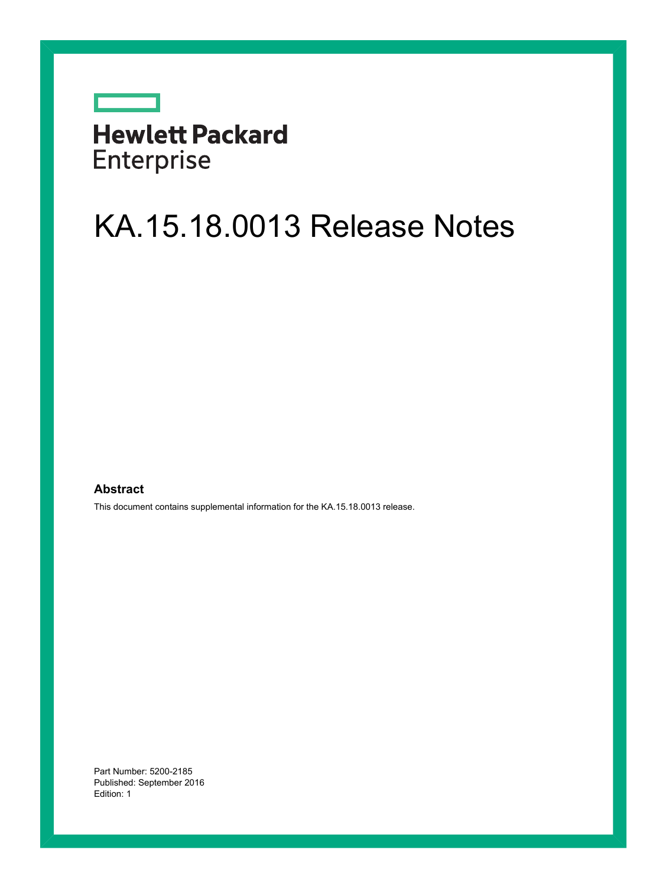# **Hewlett Packard** Enterprise

 $\overline{\phantom{0}}$ 

# KA.15.18.0013 Release Notes

#### **Abstract**

This document contains supplemental information for the KA.15.18.0013 release.

Part Number: 5200-2185 Published: September 2016 Edition: 1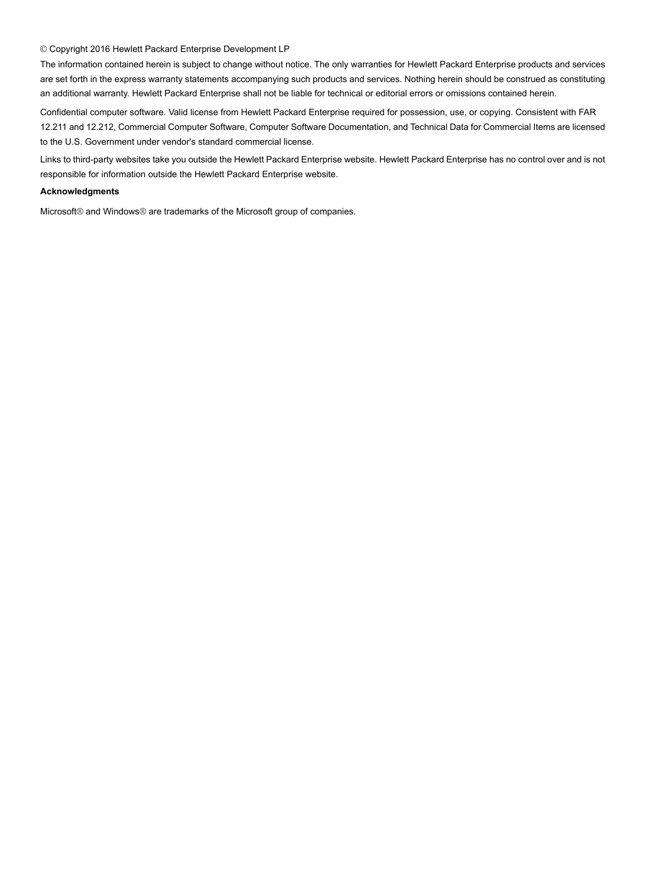#### © Copyright 2016 Hewlett Packard Enterprise Development LP

The information contained herein is subject to change without notice. The only warranties for Hewlett Packard Enterprise products and services are set forth in the express warranty statements accompanying such products and services. Nothing herein should be construed as constituting an additional warranty. Hewlett Packard Enterprise shall not be liable for technical or editorial errors or omissions contained herein.

Confidential computer software. Valid license from Hewlett Packard Enterprise required for possession, use, or copying. Consistent with FAR 12.211 and 12.212, Commercial Computer Software, Computer Software Documentation, and Technical Data for Commercial Items are licensed to the U.S. Government under vendor's standard commercial license.

Links to third-party websites take you outside the Hewlett Packard Enterprise website. Hewlett Packard Enterprise has no control over and is not responsible for information outside the Hewlett Packard Enterprise website.

#### **Acknowledgments**

Microsoft® and Windows® are trademarks of the Microsoft group of companies.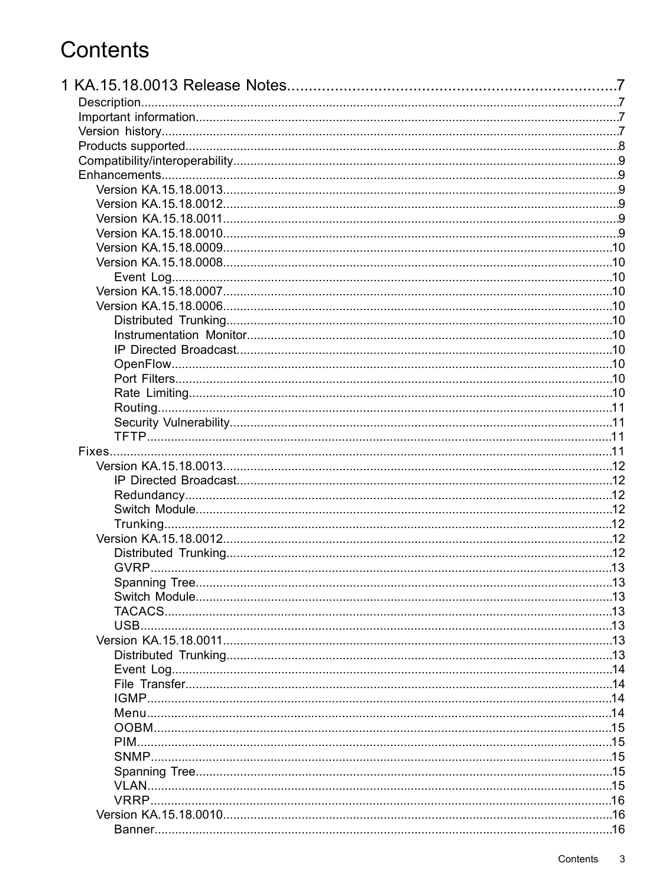# Contents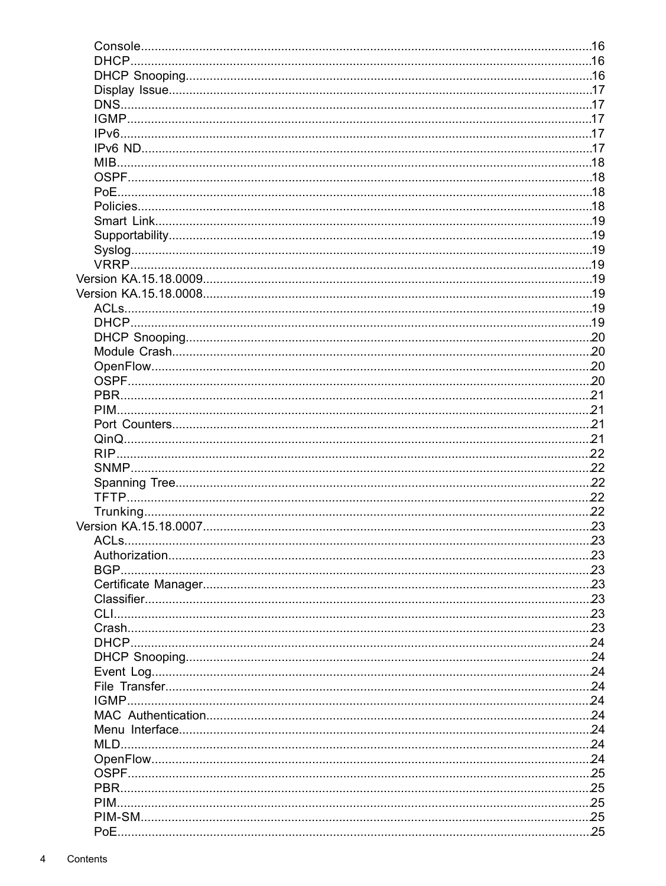| PIM. |  |
|------|--|
|      |  |
|      |  |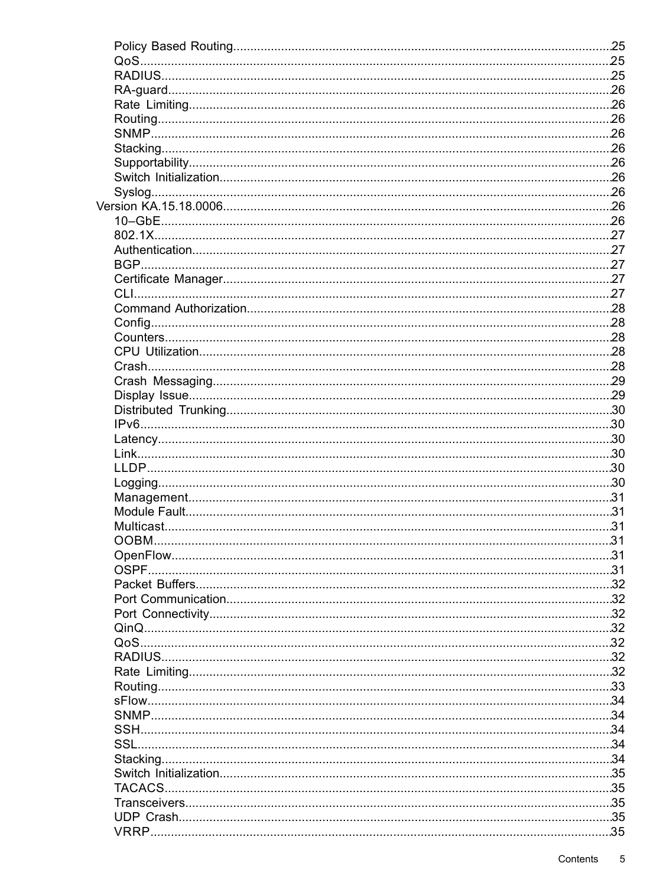| OOBM. | 31 |
|-------|----|
|       |    |
|       |    |
|       |    |
|       |    |
|       |    |
|       |    |
|       |    |
|       |    |
|       |    |
|       |    |
|       |    |
|       |    |
|       |    |
|       |    |
|       |    |
|       |    |
|       |    |
|       |    |
|       |    |
|       |    |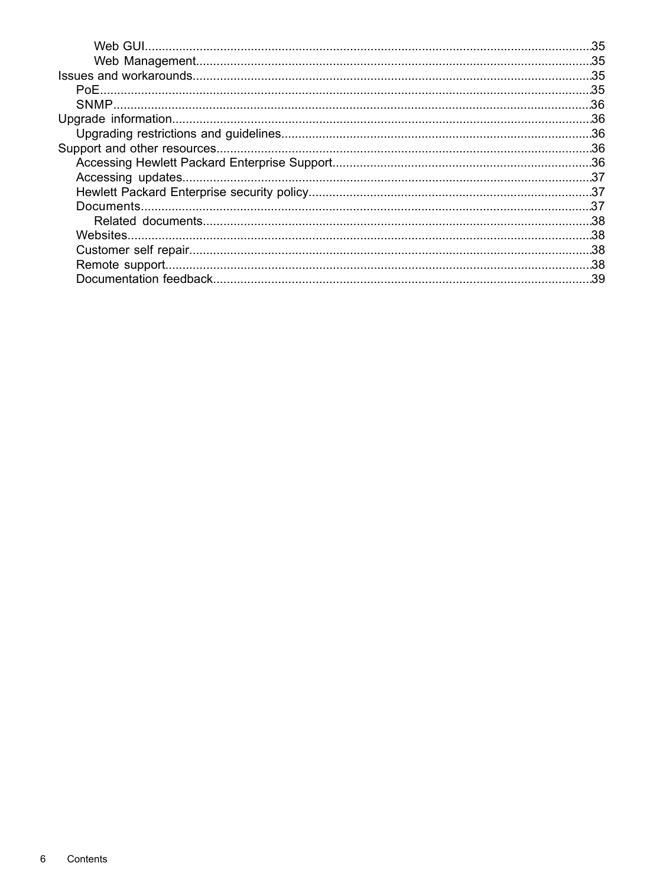| .35 |
|-----|
|     |
|     |
|     |
|     |
|     |
|     |
|     |
|     |
|     |
|     |
|     |
|     |
|     |
|     |
|     |
|     |
|     |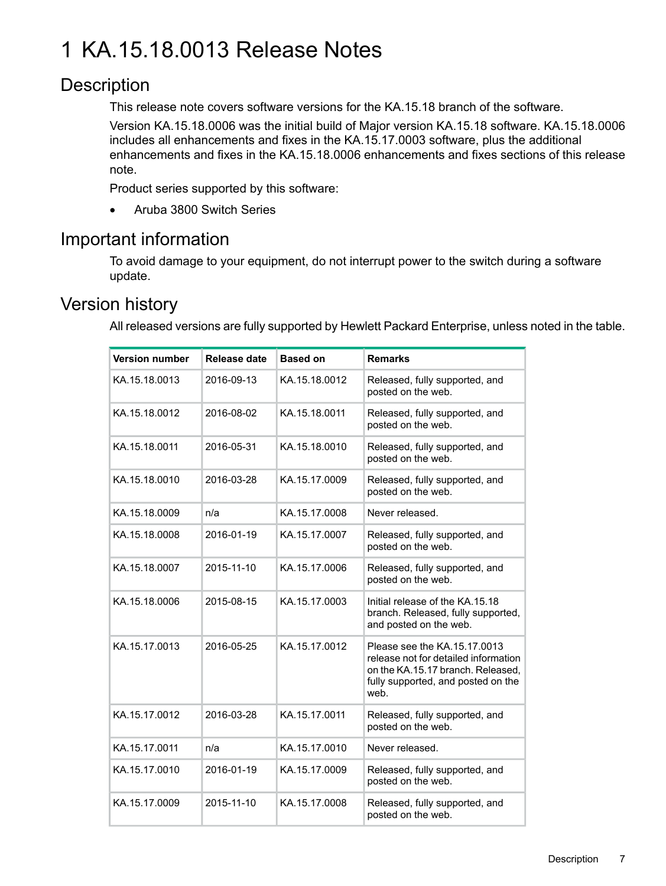# <span id="page-6-0"></span>1 KA.15.18.0013 Release Notes

# **Description**

<span id="page-6-1"></span>This release note covers software versions for the KA.15.18 branch of the software.

Version KA.15.18.0006 was the initial build of Major version KA.15.18 software. KA.15.18.0006 includes all enhancements and fixes in the KA.15.17.0003 software, plus the additional enhancements and fixes in the KA.15.18.0006 enhancements and fixes sections of this release note.

Product series supported by this software:

<span id="page-6-2"></span>• Aruba 3800 Switch Series

# Important information

<span id="page-6-3"></span>To avoid damage to your equipment, do not interrupt power to the switch during a software update.

# Version history

All released versions are fully supported by Hewlett Packard Enterprise, unless noted in the table.

| <b>Version number</b> | <b>Release date</b> | <b>Based on</b> | <b>Remarks</b>                                                                                                                                          |
|-----------------------|---------------------|-----------------|---------------------------------------------------------------------------------------------------------------------------------------------------------|
| KA.15.18.0013         | 2016-09-13          | KA.15.18.0012   | Released, fully supported, and<br>posted on the web.                                                                                                    |
| KA.15.18.0012         | 2016-08-02          | KA.15.18.0011   | Released, fully supported, and<br>posted on the web.                                                                                                    |
| KA.15.18.0011         | 2016-05-31          | KA.15.18.0010   | Released, fully supported, and<br>posted on the web.                                                                                                    |
| KA.15.18.0010         | 2016-03-28          | KA.15.17.0009   | Released, fully supported, and<br>posted on the web.                                                                                                    |
| KA.15.18.0009         | n/a                 | KA.15.17.0008   | Never released.                                                                                                                                         |
| KA.15.18.0008         | 2016-01-19          | KA.15.17.0007   | Released, fully supported, and<br>posted on the web.                                                                                                    |
| KA.15.18.0007         | 2015-11-10          | KA.15.17.0006   | Released, fully supported, and<br>posted on the web.                                                                                                    |
| KA.15.18.0006         | 2015-08-15          | KA.15.17.0003   | Initial release of the KA.15.18<br>branch. Released, fully supported,<br>and posted on the web.                                                         |
| KA.15.17.0013         | 2016-05-25          | KA.15.17.0012   | Please see the KA.15.17.0013<br>release not for detailed information<br>on the KA.15.17 branch. Released,<br>fully supported, and posted on the<br>web. |
| KA.15.17.0012         | 2016-03-28          | KA.15.17.0011   | Released, fully supported, and<br>posted on the web.                                                                                                    |
| KA.15.17.0011         | n/a                 | KA.15.17.0010   | Never released.                                                                                                                                         |
| KA.15.17.0010         | 2016-01-19          | KA.15.17.0009   | Released, fully supported, and<br>posted on the web.                                                                                                    |
| KA.15.17.0009         | 2015-11-10          | KA.15.17.0008   | Released, fully supported, and<br>posted on the web.                                                                                                    |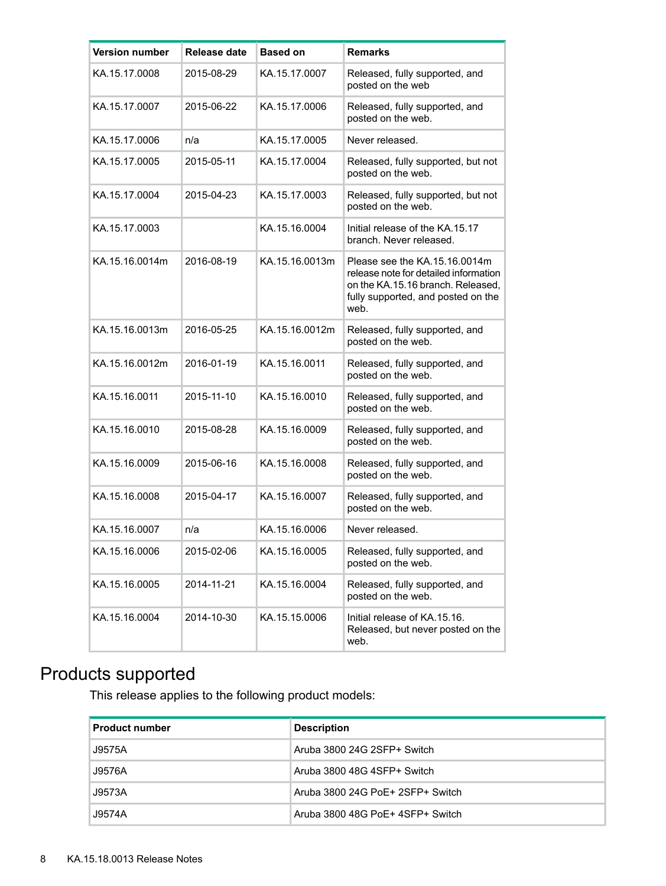| <b>Version number</b> | Release date | <b>Based on</b> | <b>Remarks</b>                                                                                                                                            |
|-----------------------|--------------|-----------------|-----------------------------------------------------------------------------------------------------------------------------------------------------------|
| KA.15.17.0008         | 2015-08-29   | KA.15.17.0007   | Released, fully supported, and<br>posted on the web                                                                                                       |
| KA.15.17.0007         | 2015-06-22   | KA.15.17.0006   | Released, fully supported, and<br>posted on the web.                                                                                                      |
| KA.15.17.0006         | n/a          | KA.15.17.0005   | Never released.                                                                                                                                           |
| KA.15.17.0005         | 2015-05-11   | KA.15.17.0004   | Released, fully supported, but not<br>posted on the web.                                                                                                  |
| KA.15.17.0004         | 2015-04-23   | KA.15.17.0003   | Released, fully supported, but not<br>posted on the web.                                                                                                  |
| KA.15.17.0003         |              | KA.15.16.0004   | Initial release of the KA.15.17<br>branch. Never released.                                                                                                |
| KA.15.16.0014m        | 2016-08-19   | KA.15.16.0013m  | Please see the KA.15.16.0014m<br>release note for detailed information<br>on the KA.15.16 branch. Released,<br>fully supported, and posted on the<br>web. |
| KA.15.16.0013m        | 2016-05-25   | KA.15.16.0012m  | Released, fully supported, and<br>posted on the web.                                                                                                      |
| KA.15.16.0012m        | 2016-01-19   | KA.15.16.0011   | Released, fully supported, and<br>posted on the web.                                                                                                      |
| KA.15.16.0011         | 2015-11-10   | KA.15.16.0010   | Released, fully supported, and<br>posted on the web.                                                                                                      |
| KA.15.16.0010         | 2015-08-28   | KA.15.16.0009   | Released, fully supported, and<br>posted on the web.                                                                                                      |
| KA.15.16.0009         | 2015-06-16   | KA.15.16.0008   | Released, fully supported, and<br>posted on the web.                                                                                                      |
| KA.15.16.0008         | 2015-04-17   | KA.15.16.0007   | Released, fully supported, and<br>posted on the web.                                                                                                      |
| KA.15.16.0007         | n/a          | KA.15.16.0006   | Never released.                                                                                                                                           |
| KA.15.16.0006         | 2015-02-06   | KA.15.16.0005   | Released, fully supported, and<br>posted on the web.                                                                                                      |
| KA.15.16.0005         | 2014-11-21   | KA.15.16.0004   | Released, fully supported, and<br>posted on the web.                                                                                                      |
| KA.15.16.0004         | 2014-10-30   | KA.15.15.0006   | Initial release of KA.15.16.<br>Released, but never posted on the<br>web.                                                                                 |

# <span id="page-7-0"></span>Products supported

This release applies to the following product models:

| <b>Product number</b> | <b>Description</b>               |
|-----------------------|----------------------------------|
| J9575A                | Aruba 3800 24G 2SFP+ Switch      |
| J9576A                | Aruba 3800 48G 4SFP+ Switch      |
| J9573A                | Aruba 3800 24G PoF+ 2SFP+ Switch |
| J9574A                | Aruba 3800 48G PoE+ 4SFP+ Switch |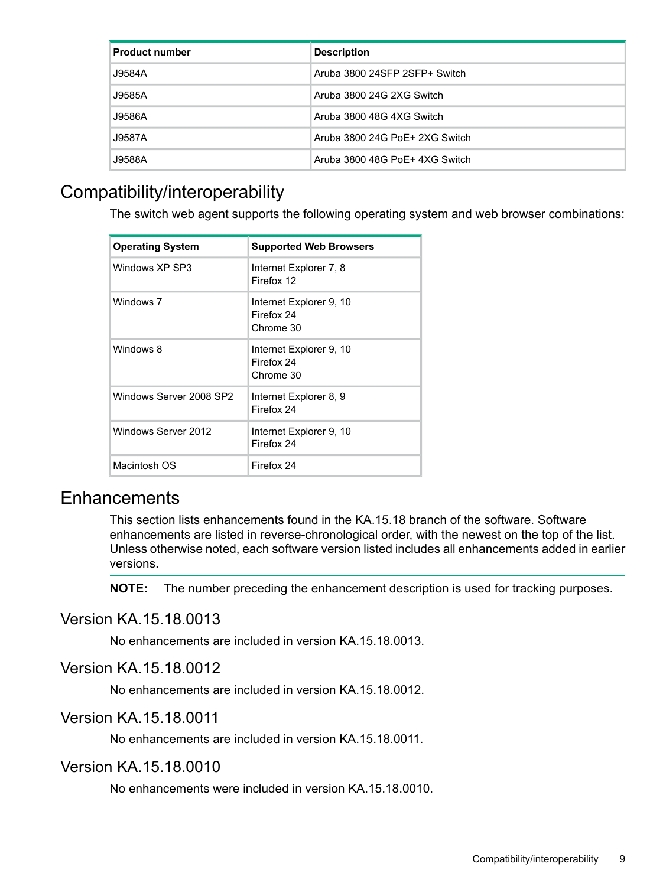| <b>Product number</b> | <b>Description</b>             |
|-----------------------|--------------------------------|
| J9584A                | Aruba 3800 24SFP 2SFP+ Switch  |
| J9585A                | Aruba 3800 24G 2XG Switch      |
| J9586A                | Aruba 3800 48G 4XG Switch      |
| J9587A                | Aruba 3800 24G PoE+ 2XG Switch |
| J9588A                | Aruba 3800 48G PoE+ 4XG Switch |

# <span id="page-8-0"></span>Compatibility/interoperability

The switch web agent supports the following operating system and web browser combinations:

| <b>Operating System</b> | <b>Supported Web Browsers</b>                      |
|-------------------------|----------------------------------------------------|
| Windows XP SP3          | Internet Explorer 7, 8<br>Firefox 12               |
| Windows 7               | Internet Explorer 9, 10<br>Firefox 24<br>Chrome 30 |
| Windows 8               | Internet Explorer 9, 10<br>Firefox 24<br>Chrome 30 |
| Windows Server 2008 SP2 | Internet Explorer 8, 9<br>Firefox 24               |
| Windows Server 2012     | Internet Explorer 9, 10<br>Firefox 24              |
| Macintosh OS            | Firefox 24                                         |

# <span id="page-8-1"></span>**Enhancements**

<span id="page-8-2"></span>This section lists enhancements found in the KA.15.18 branch of the software. Software enhancements are listed in reverse-chronological order, with the newest on the top of the list. Unless otherwise noted, each software version listed includes all enhancements added in earlier versions.

<span id="page-8-3"></span>**NOTE:** The number preceding the enhancement description is used for tracking purposes.

# Version KA.15.18.0013

<span id="page-8-4"></span>No enhancements are included in version KA.15.18.0013.

# Version KA.15.18.0012

<span id="page-8-5"></span>No enhancements are included in version KA.15.18.0012.

# Version KA.15.18.0011

No enhancements are included in version KA.15.18.0011.

# Version KA.15.18.0010

No enhancements were included in version KA.15.18.0010.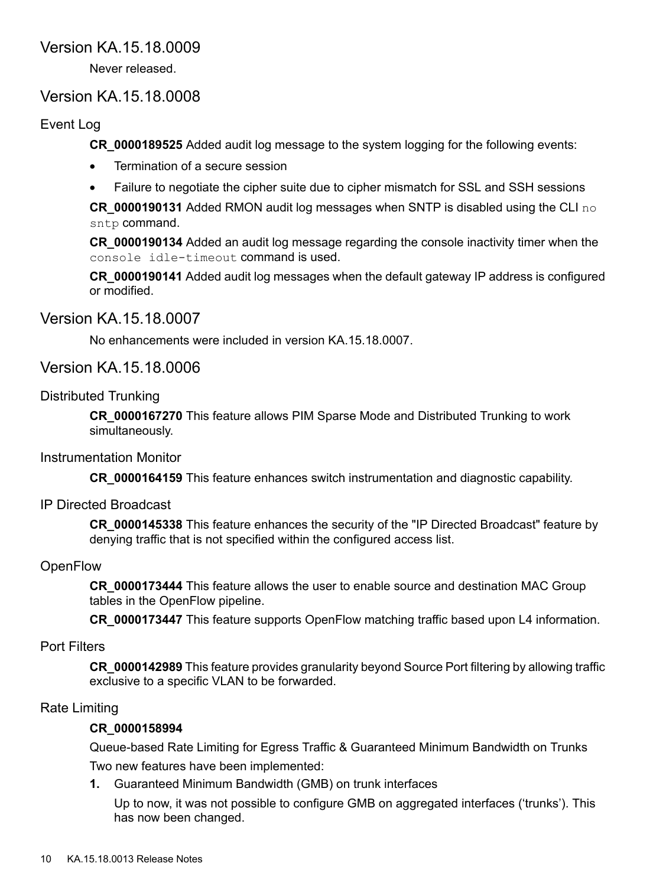# Version KA.15.18.0009

<span id="page-9-1"></span><span id="page-9-0"></span>Never released.

# Version KA.15.18.0008

# Event Log

<span id="page-9-2"></span>**CR\_0000189525** Added audit log message to the system logging for the following events:

- Termination of a secure session
- Failure to negotiate the cipher suite due to cipher mismatch for SSL and SSH sessions

**CR\_0000190131** Added RMON audit log messages when SNTP is disabled using the CLI no sntp command.

**CR\_0000190134** Added an audit log message regarding the console inactivity timer when the console idle-timeout command is used.

<span id="page-9-3"></span>**CR\_0000190141** Added audit log messages when the default gateway IP address is configured or modified.

# Version KA.15.18.0007

<span id="page-9-5"></span><span id="page-9-4"></span>No enhancements were included in version KA.15.18.0007.

# Version KA.15.18.0006

# Distributed Trunking

<span id="page-9-7"></span><span id="page-9-6"></span>**CR\_0000167270** This feature allows PIM Sparse Mode and Distributed Trunking to work simultaneously.

# Instrumentation Monitor

<span id="page-9-8"></span>**CR\_0000164159** This feature enhances switch instrumentation and diagnostic capability.

# IP Directed Broadcast

**CR\_0000145338** This feature enhances the security of the "IP Directed Broadcast" feature by denying traffic that is not specified within the configured access list.

# **OpenFlow**

<span id="page-9-9"></span>**CR\_0000173444** This feature allows the user to enable source and destination MAC Group tables in the OpenFlow pipeline.

<span id="page-9-10"></span>**CR\_0000173447** This feature supports OpenFlow matching traffic based upon L4 information.

# Port Filters

**CR\_0000142989** This feature provides granularity beyond Source Port filtering by allowing traffic exclusive to a specific VLAN to be forwarded.

# Rate Limiting

# **CR\_0000158994**

Queue-based Rate Limiting for Egress Traffic & Guaranteed Minimum Bandwidth on Trunks Two new features have been implemented:

**1.** Guaranteed Minimum Bandwidth (GMB) on trunk interfaces

Up to now, it was not possible to configure GMB on aggregated interfaces ('trunks'). This has now been changed.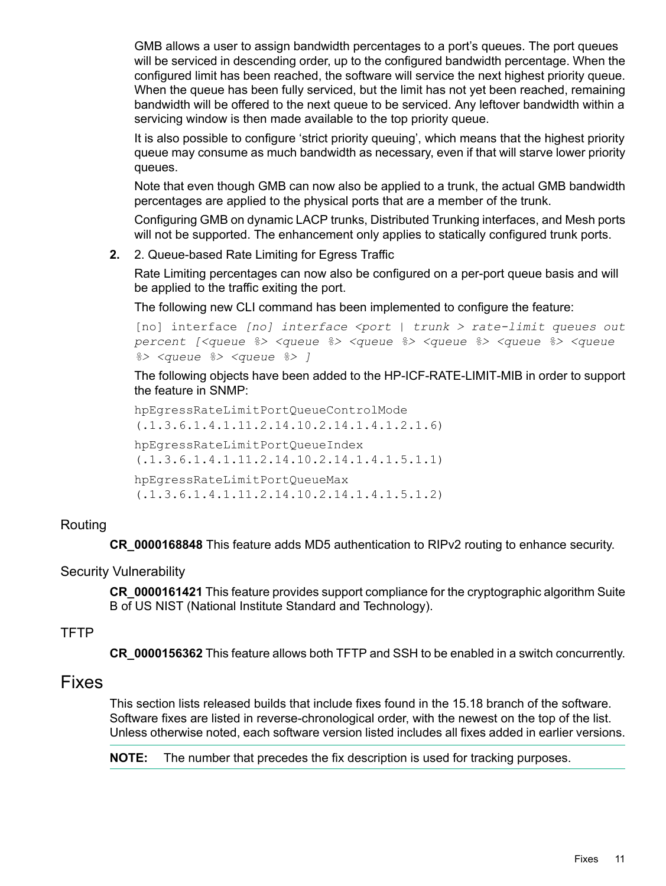GMB allows a user to assign bandwidth percentages to a port's queues. The port queues will be serviced in descending order, up to the configured bandwidth percentage. When the configured limit has been reached, the software will service the next highest priority queue. When the queue has been fully serviced, but the limit has not yet been reached, remaining bandwidth will be offered to the next queue to be serviced. Any leftover bandwidth within a servicing window is then made available to the top priority queue.

It is also possible to configure 'strict priority queuing', which means that the highest priority queue may consume as much bandwidth as necessary, even if that will starve lower priority queues.

Note that even though GMB can now also be applied to a trunk, the actual GMB bandwidth percentages are applied to the physical ports that are a member of the trunk.

Configuring GMB on dynamic LACP trunks, Distributed Trunking interfaces, and Mesh ports will not be supported. The enhancement only applies to statically configured trunk ports.

**2.** 2. Queue-based Rate Limiting for Egress Traffic

Rate Limiting percentages can now also be configured on a per-port queue basis and will be applied to the traffic exiting the port.

The following new CLI command has been implemented to configure the feature:

[no] interface *[no] interface <port | trunk > rate-limit queues out percent [<queue %> <queue %> <queue %> <queue %> <queue %> <queue %> <queue %> <queue %> ]*

The following objects have been added to the HP-ICF-RATE-LIMIT-MIB in order to support the feature in SNMP:

<span id="page-10-0"></span>hpEgressRateLimitPortQueueControlMode (.1.3.6.1.4.1.11.2.14.10.2.14.1.4.1.2.1.6) hpEgressRateLimitPortQueueIndex (.1.3.6.1.4.1.11.2.14.10.2.14.1.4.1.5.1.1) hpEgressRateLimitPortQueueMax (.1.3.6.1.4.1.11.2.14.10.2.14.1.4.1.5.1.2)

# Routing

<span id="page-10-2"></span><span id="page-10-1"></span>**CR\_0000168848** This feature adds MD5 authentication to RIPv2 routing to enhance security.

# Security Vulnerability

<span id="page-10-3"></span>**CR\_0000161421** This feature provides support compliance for the cryptographic algorithm Suite B of US NIST (National Institute Standard and Technology).

# **TFTP**

**CR\_0000156362** This feature allows both TFTP and SSH to be enabled in a switch concurrently.

# Fixes

This section lists released builds that include fixes found in the 15.18 branch of the software. Software fixes are listed in reverse-chronological order, with the newest on the top of the list. Unless otherwise noted, each software version listed includes all fixes added in earlier versions.

**NOTE:** The number that precedes the fix description is used for tracking purposes.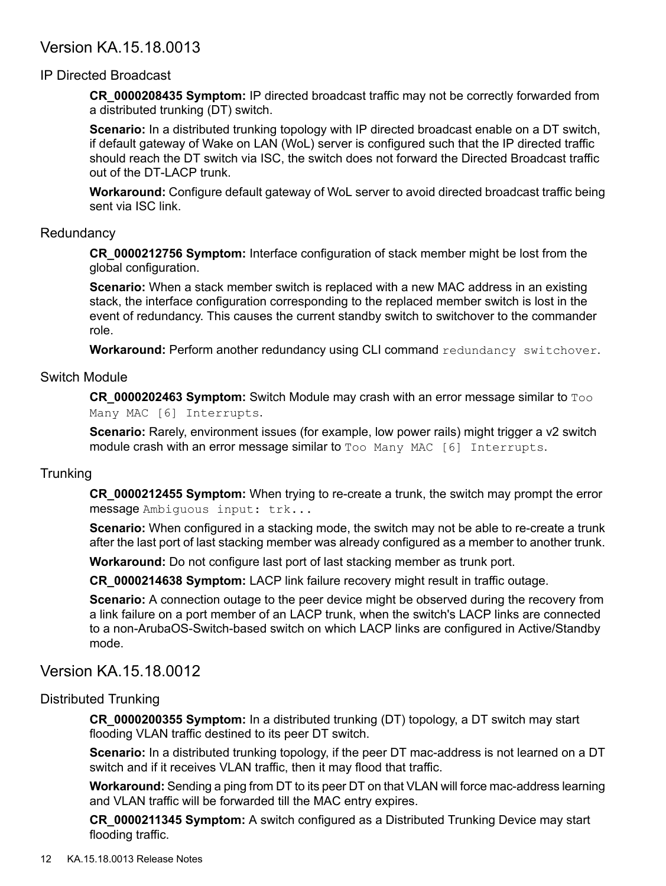# <span id="page-11-0"></span>Version KA.15.18.0013

# IP Directed Broadcast

<span id="page-11-1"></span>**CR\_0000208435 Symptom:** IP directed broadcast traffic may not be correctly forwarded from a distributed trunking (DT) switch.

**Scenario:** In a distributed trunking topology with IP directed broadcast enable on a DT switch, if default gateway of Wake on LAN (WoL) server is configured such that the IP directed traffic should reach the DT switch via ISC, the switch does not forward the Directed Broadcast traffic out of the DT-LACP trunk.

<span id="page-11-2"></span>**Workaround:** Configure default gateway of WoL server to avoid directed broadcast traffic being sent via ISC link.

# **Redundancy**

**CR\_0000212756 Symptom:** Interface configuration of stack member might be lost from the global configuration.

**Scenario:** When a stack member switch is replaced with a new MAC address in an existing stack, the interface configuration corresponding to the replaced member switch is lost in the event of redundancy. This causes the current standby switch to switchover to the commander role.

<span id="page-11-3"></span>Workaround: Perform another redundancy using CLI command redundancy switchover.

# Switch Module

**CR\_0000202463 Symptom:** Switch Module may crash with an error message similar to Too Many MAC [6] Interrupts.

<span id="page-11-4"></span>**Scenario:** Rarely, environment issues (for example, low power rails) might trigger a v2 switch module crash with an error message similar to Too Many MAC [6] Interrupts.

# **Trunking**

**CR\_0000212455 Symptom:** When trying to re-create a trunk, the switch may prompt the error message Ambiguous input: trk...

**Scenario:** When configured in a stacking mode, the switch may not be able to re-create a trunk after the last port of last stacking member was already configured as a member to another trunk.

**Workaround:** Do not configure last port of last stacking member as trunk port.

**CR\_0000214638 Symptom:** LACP link failure recovery might result in traffic outage.

<span id="page-11-6"></span><span id="page-11-5"></span>**Scenario:** A connection outage to the peer device might be observed during the recovery from a link failure on a port member of an LACP trunk, when the switch's LACP links are connected to a non-ArubaOS-Switch-based switch on which LACP links are configured in Active/Standby mode.

# Version KA.15.18.0012

# Distributed Trunking

**CR\_0000200355 Symptom:** In a distributed trunking (DT) topology, a DT switch may start flooding VLAN traffic destined to its peer DT switch.

**Scenario:** In a distributed trunking topology, if the peer DT mac-address is not learned on a DT switch and if it receives VLAN traffic, then it may flood that traffic.

**Workaround:** Sending a ping from DT to its peer DT on that VLAN will force mac-address learning and VLAN traffic will be forwarded till the MAC entry expires.

**CR\_0000211345 Symptom:** A switch configured as a Distributed Trunking Device may start flooding traffic.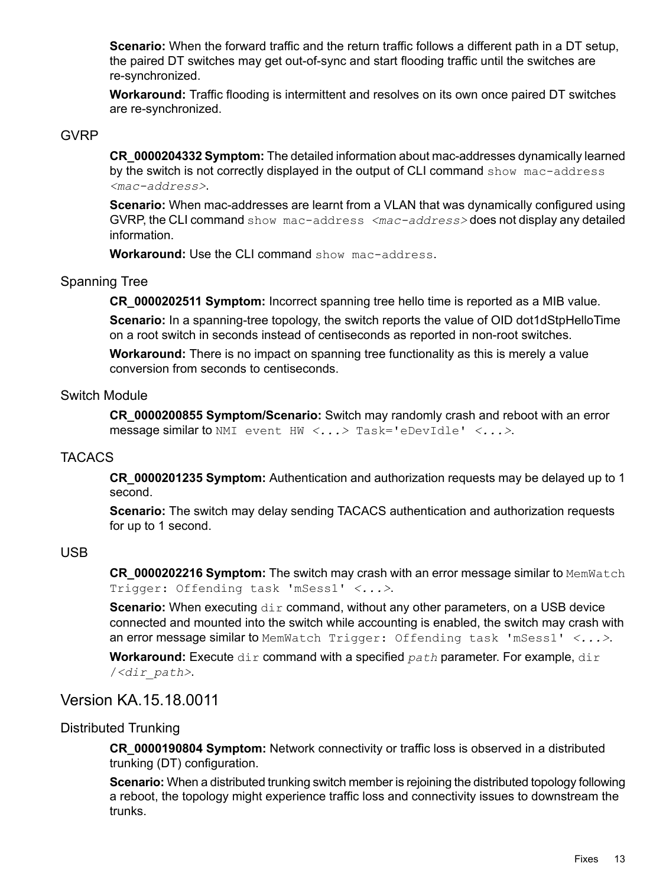**Scenario:** When the forward traffic and the return traffic follows a different path in a DT setup, the paired DT switches may get out-of-sync and start flooding traffic until the switches are re-synchronized.

<span id="page-12-0"></span>**Workaround:** Traffic flooding is intermittent and resolves on its own once paired DT switches are re-synchronized.

# GVRP

**CR\_0000204332 Symptom:** The detailed information about mac-addresses dynamically learned by the switch is not correctly displayed in the output of CLI command show mac-address *<mac-address>*.

**Scenario:** When mac-addresses are learnt from a VLAN that was dynamically configured using GVRP, the CLI command show mac-address *<mac-address>* does not display any detailed information.

<span id="page-12-1"></span>**Workaround:** Use the CLI command show mac-address.

# Spanning Tree

**CR\_0000202511 Symptom:** Incorrect spanning tree hello time is reported as a MIB value. **Scenario:** In a spanning-tree topology, the switch reports the value of OID dot1dStpHelloTime on a root switch in seconds instead of centiseconds as reported in non-root switches.

<span id="page-12-2"></span>**Workaround:** There is no impact on spanning tree functionality as this is merely a value conversion from seconds to centiseconds.

# Switch Module

<span id="page-12-3"></span>**CR\_0000200855 Symptom/Scenario:** Switch may randomly crash and reboot with an error message similar to NMI event HW *<...>* Task='eDevIdle' *<...>*.

# **TACACS**

<span id="page-12-4"></span>**CR\_0000201235 Symptom:** Authentication and authorization requests may be delayed up to 1 second.

**Scenario:** The switch may delay sending TACACS authentication and authorization requests for up to 1 second.

#### USB

**CR 0000202216 Symptom:** The switch may crash with an error message similar to MemWatch Trigger: Offending task 'mSess1' *<...>*.

<span id="page-12-5"></span>**Scenario:** When executing  $\text{dir}$  command, without any other parameters, on a USB device connected and mounted into the switch while accounting is enabled, the switch may crash with an error message similar to MemWatch Trigger: Offending task 'mSess1' *<...>*.

<span id="page-12-6"></span>**Workaround:** Execute dir command with a specified path parameter. For example, dir /*<dir\_path>*.

# Version KA.15.18.0011

# Distributed Trunking

**CR\_0000190804 Symptom:** Network connectivity or traffic loss is observed in a distributed trunking (DT) configuration.

**Scenario:** When a distributed trunking switch member is rejoining the distributed topology following a reboot, the topology might experience traffic loss and connectivity issues to downstream the trunks.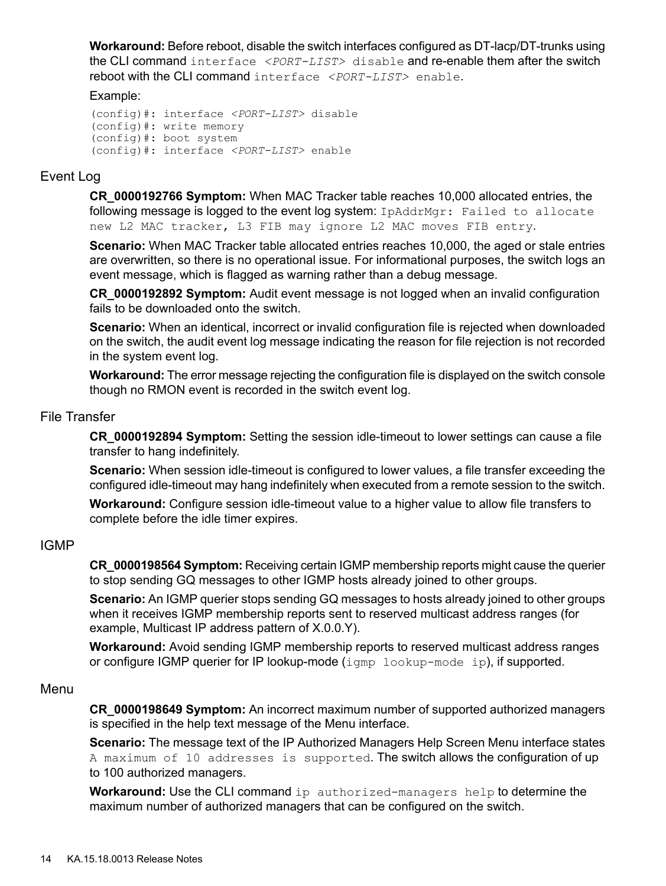**Workaround:** Before reboot, disable the switch interfaces configured as DT-lacp/DT-trunks using the CLI command interface *<PORT-LIST>* disable and re-enable them after the switch reboot with the CLI command interface *<PORT-LIST>* enable.

#### Example:

```
(config)#: interface <PORT-LIST> disable
(config)#: write memory
(config)#: boot system
(config)#: interface <PORT-LIST> enable
```
# Event Log

**CR\_0000192766 Symptom:** When MAC Tracker table reaches 10,000 allocated entries, the following message is logged to the event log system: IpAddrMgr: Failed to allocate new L2 MAC tracker, L3 FIB may ignore L2 MAC moves FIB entry.

**Scenario:** When MAC Tracker table allocated entries reaches 10,000, the aged or stale entries are overwritten, so there is no operational issue. For informational purposes, the switch logs an event message, which is flagged as warning rather than a debug message.

**CR\_0000192892 Symptom:** Audit event message is not logged when an invalid configuration fails to be downloaded onto the switch.

**Scenario:** When an identical, incorrect or invalid configuration file is rejected when downloaded on the switch, the audit event log message indicating the reason for file rejection is not recorded in the system event log.

<span id="page-13-1"></span>**Workaround:** The error message rejecting the configuration file is displayed on the switch console though no RMON event is recorded in the switch event log.

#### File Transfer

**CR\_0000192894 Symptom:** Setting the session idle-timeout to lower settings can cause a file transfer to hang indefinitely.

<span id="page-13-2"></span>**Scenario:** When session idle-timeout is configured to lower values, a file transfer exceeding the configured idle-timeout may hang indefinitely when executed from a remote session to the switch.

**Workaround:** Configure session idle-timeout value to a higher value to allow file transfers to complete before the idle timer expires.

# IGMP

**CR\_0000198564 Symptom:** Receiving certain IGMP membership reports might cause the querier to stop sending GQ messages to other IGMP hosts already joined to other groups.

<span id="page-13-3"></span>**Scenario:** An IGMP querier stops sending GQ messages to hosts already joined to other groups when it receives IGMP membership reports sent to reserved multicast address ranges (for example, Multicast IP address pattern of X.0.0.Y).

**Workaround:** Avoid sending IGMP membership reports to reserved multicast address ranges or configure IGMP querier for IP lookup-mode (igmp lookup-mode ip), if supported.

# Menu

**CR\_0000198649 Symptom:** An incorrect maximum number of supported authorized managers is specified in the help text message of the Menu interface.

**Scenario:** The message text of the IP Authorized Managers Help Screen Menu interface states A maximum of 10 addresses is supported. The switch allows the configuration of up to 100 authorized managers.

**Workaround:** Use the CLI command ip authorized-managers help to determine the maximum number of authorized managers that can be configured on the switch.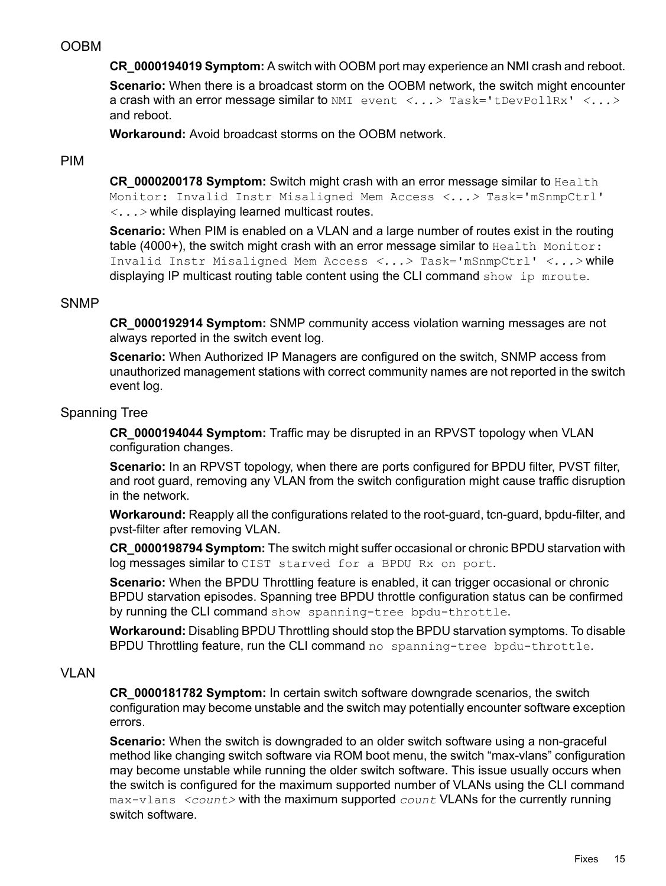# OOBM

<span id="page-14-0"></span>**CR\_0000194019 Symptom:** A switch with OOBM port may experience an NMI crash and reboot. **Scenario:** When there is a broadcast storm on the OOBM network, the switch might encounter a crash with an error message similar to NMI event *<...>* Task='tDevPollRx' *<...>* and reboot.

<span id="page-14-1"></span>**Workaround:** Avoid broadcast storms on the OOBM network.

# PIM

**CR\_0000200178 Symptom:** Switch might crash with an error message similar to Health Monitor: Invalid Instr Misaligned Mem Access *<...>* Task='mSnmpCtrl' *<...>* while displaying learned multicast routes.

<span id="page-14-2"></span>**Scenario:** When PIM is enabled on a VLAN and a large number of routes exist in the routing table (4000+), the switch might crash with an error message similar to Health Monitor: Invalid Instr Misaligned Mem Access *<...>* Task='mSnmpCtrl' *<...>* while displaying IP multicast routing table content using the CLI command show ip mroute.

# SNMP

**CR\_0000192914 Symptom:** SNMP community access violation warning messages are not always reported in the switch event log.

<span id="page-14-3"></span>**Scenario:** When Authorized IP Managers are configured on the switch, SNMP access from unauthorized management stations with correct community names are not reported in the switch event log.

# Spanning Tree

**CR\_0000194044 Symptom:** Traffic may be disrupted in an RPVST topology when VLAN configuration changes.

**Scenario:** In an RPVST topology, when there are ports configured for BPDU filter, PVST filter, and root guard, removing any VLAN from the switch configuration might cause traffic disruption in the network.

Workaround: Reapply all the configurations related to the root-guard, tcn-guard, bpdu-filter, and pvst-filter after removing VLAN.

**CR\_0000198794 Symptom:** The switch might suffer occasional or chronic BPDU starvation with log messages similar to CIST starved for a BPDU Rx on port.

<span id="page-14-4"></span>**Scenario:** When the BPDU Throttling feature is enabled, it can trigger occasional or chronic BPDU starvation episodes. Spanning tree BPDU throttle configuration status can be confirmed by running the CLI command show spanning-tree bpdu-throttle.

**Workaround:** Disabling BPDU Throttling should stop the BPDU starvation symptoms. To disable BPDU Throttling feature, run the CLI command no spanning-tree bpdu-throttle.

# VLAN

**CR\_0000181782 Symptom:** In certain switch software downgrade scenarios, the switch configuration may become unstable and the switch may potentially encounter software exception errors.

**Scenario:** When the switch is downgraded to an older switch software using a non-graceful method like changing switch software via ROM boot menu, the switch "max-vlans" configuration may become unstable while running the older switch software. This issue usually occurs when the switch is configured for the maximum supported number of VLANs using the CLI command max-vlans *<count>* with the maximum supported *count* VLANs for the currently running switch software.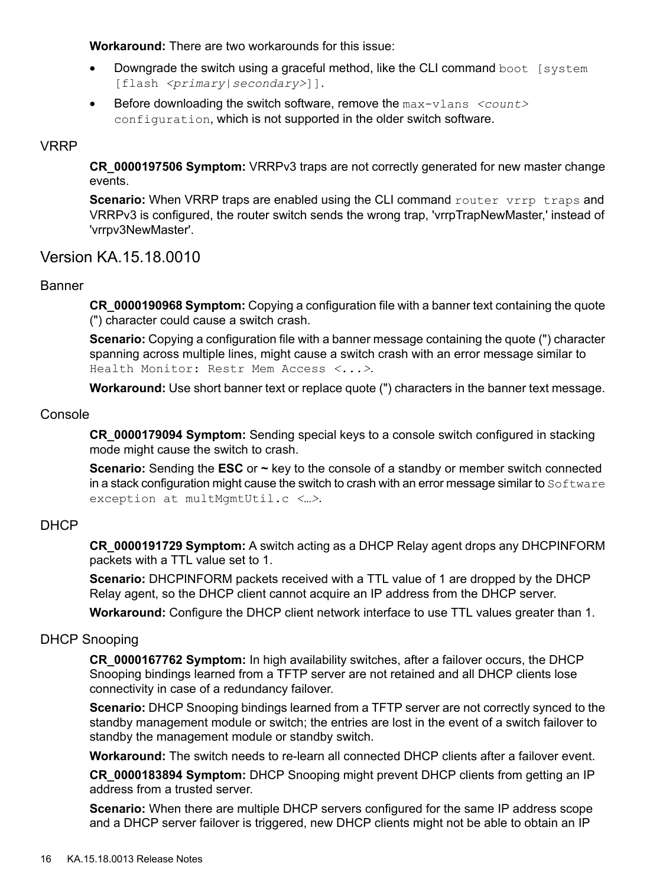**Workaround:** There are two workarounds for this issue:

- Downgrade the switch using a graceful method, like the CLI command boot [system] [flash *<primary|secondary>*]].
- <span id="page-15-0"></span>• Before downloading the switch software, remove the max-vlans *<count>* configuration, which is not supported in the older switch software.

# VRRP

**CR\_0000197506 Symptom:** VRRPv3 traps are not correctly generated for new master change events.

<span id="page-15-1"></span>**Scenario:** When VRRP traps are enabled using the CLI command router vrrp traps and VRRPv3 is configured, the router switch sends the wrong trap, 'vrrpTrapNewMaster,' instead of 'vrrpv3NewMaster'.

<span id="page-15-2"></span>Version KA.15.18.0010

# Banner

**CR\_0000190968 Symptom:** Copying a configuration file with a banner text containing the quote (") character could cause a switch crash.

**Scenario:** Copying a configuration file with a banner message containing the quote (") character spanning across multiple lines, might cause a switch crash with an error message similar to Health Monitor: Restr Mem Access *<...>*.

<span id="page-15-3"></span>**Workaround:** Use short banner text or replace quote (") characters in the banner text message.

# Console

**CR\_0000179094 Symptom:** Sending special keys to a console switch configured in stacking mode might cause the switch to crash.

<span id="page-15-4"></span>**Scenario:** Sending the **ESC** or **~** key to the console of a standby or member switch connected in a stack configuration might cause the switch to crash with an error message similar to  $\text{Software}$ exception at multMgmtUtil.c *<…>*.

# DHCP

**CR\_0000191729 Symptom:** A switch acting as a DHCP Relay agent drops any DHCPINFORM packets with a TTL value set to 1.

<span id="page-15-5"></span>**Scenario:** DHCPINFORM packets received with a TTL value of 1 are dropped by the DHCP Relay agent, so the DHCP client cannot acquire an IP address from the DHCP server.

**Workaround:** Configure the DHCP client network interface to use TTL values greater than 1.

# DHCP Snooping

**CR\_0000167762 Symptom:** In high availability switches, after a failover occurs, the DHCP Snooping bindings learned from a TFTP server are not retained and all DHCP clients lose connectivity in case of a redundancy failover.

**Scenario:** DHCP Snooping bindings learned from a TFTP server are not correctly synced to the standby management module or switch; the entries are lost in the event of a switch failover to standby the management module or standby switch.

**Workaround:** The switch needs to re-learn all connected DHCP clients after a failover event.

**CR\_0000183894 Symptom:** DHCP Snooping might prevent DHCP clients from getting an IP address from a trusted server.

**Scenario:** When there are multiple DHCP servers configured for the same IP address scope and a DHCP server failover is triggered, new DHCP clients might not be able to obtain an IP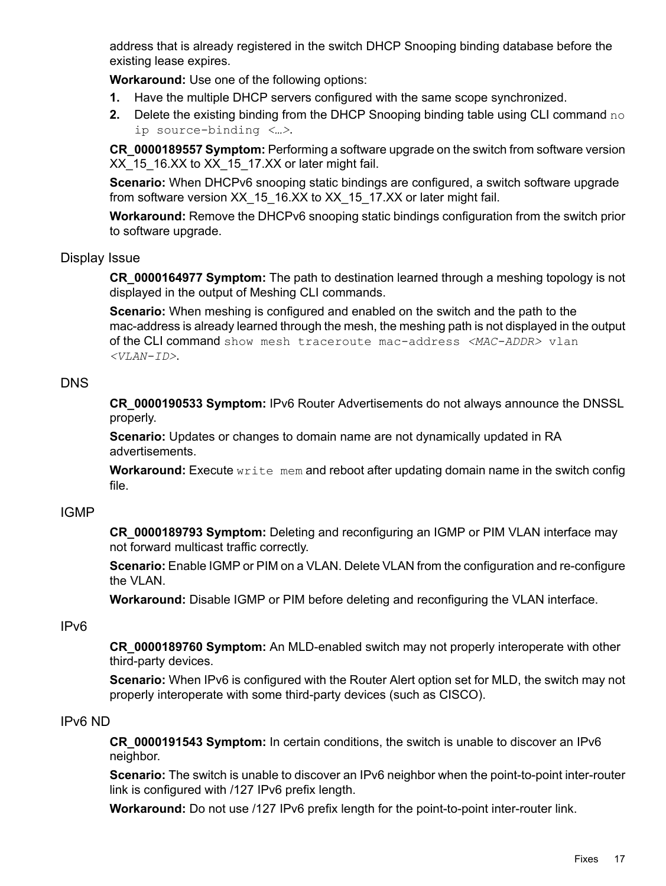address that is already registered in the switch DHCP Snooping binding database before the existing lease expires.

**Workaround:** Use one of the following options:

- **1.** Have the multiple DHCP servers configured with the same scope synchronized.
- **2.** Delete the existing binding from the DHCP Snooping binding table using CLI command no ip source-binding *<…>*.

**CR\_0000189557 Symptom:** Performing a software upgrade on the switch from software version XX 15\_16.XX to XX\_15\_17.XX or later might fail.

**Scenario:** When DHCPv6 snooping static bindings are configured, a switch software upgrade from software version XX\_15\_16.XX to XX\_15\_17.XX or later might fail.

<span id="page-16-0"></span>**Workaround:** Remove the DHCPv6 snooping static bindings configuration from the switch prior to software upgrade.

# Display Issue

**CR\_0000164977 Symptom:** The path to destination learned through a meshing topology is not displayed in the output of Meshing CLI commands.

<span id="page-16-1"></span>**Scenario:** When meshing is configured and enabled on the switch and the path to the mac-address is already learned through the mesh, the meshing path is not displayed in the output of the CLI command show mesh traceroute mac-address *<MAC-ADDR>* vlan *<VLAN-ID>*.

# DNS

**CR\_0000190533 Symptom:** IPv6 Router Advertisements do not always announce the DNSSL properly.

**Scenario:** Updates or changes to domain name are not dynamically updated in RA advertisements.

<span id="page-16-2"></span>**Workaround:** Execute write mem and reboot after updating domain name in the switch config file.

# IGMP

**CR\_0000189793 Symptom:** Deleting and reconfiguring an IGMP or PIM VLAN interface may not forward multicast traffic correctly.

<span id="page-16-3"></span>**Scenario:** Enable IGMP or PIM on a VLAN. Delete VLAN from the configuration and re-configure the VLAN.

**Workaround:** Disable IGMP or PIM before deleting and reconfiguring the VLAN interface.

# IPv6

<span id="page-16-4"></span>**CR\_0000189760 Symptom:** An MLD-enabled switch may not properly interoperate with other third-party devices.

**Scenario:** When IPv6 is configured with the Router Alert option set for MLD, the switch may not properly interoperate with some third-party devices (such as CISCO).

# IPv6 ND

**CR\_0000191543 Symptom:** In certain conditions, the switch is unable to discover an IPv6 neighbor.

**Scenario:** The switch is unable to discover an IPv6 neighbor when the point-to-point inter-router link is configured with /127 IPv6 prefix length.

**Workaround:** Do not use /127 IPv6 prefix length for the point-to-point inter-router link.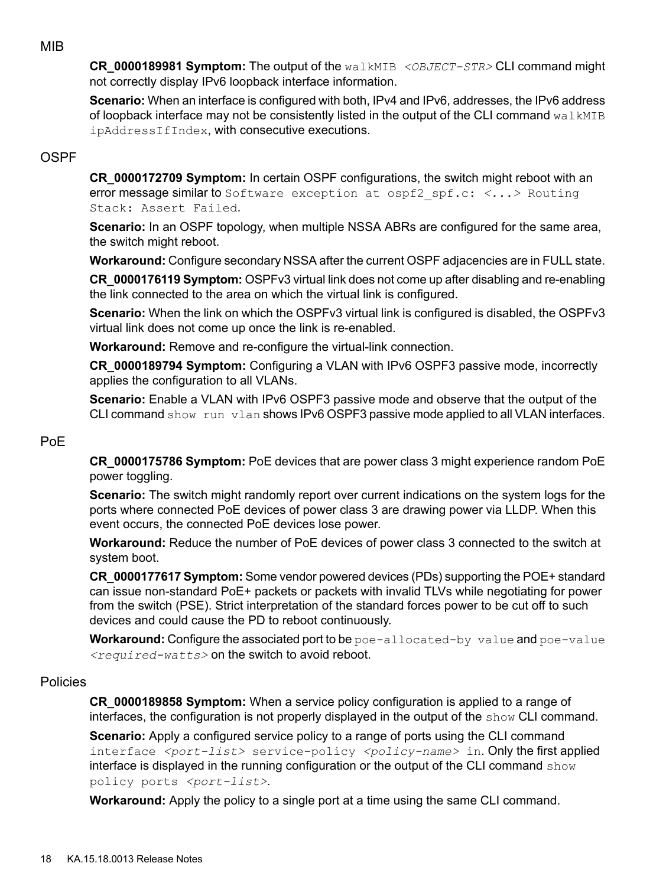# MIB

<span id="page-17-0"></span>**CR\_0000189981 Symptom:** The output of the walkMIB *<OBJECT-STR>* CLI command might not correctly display IPv6 loopback interface information.

<span id="page-17-1"></span>**Scenario:** When an interface is configured with both, IPv4 and IPv6, addresses, the IPv6 address of loopback interface may not be consistently listed in the output of the CLI command  $\text{walkMIB}$ ipAddressIfIndex, with consecutive executions.

# OSPF

**CR\_0000172709 Symptom:** In certain OSPF configurations, the switch might reboot with an error message similar to Software exception at ospf2\_spf.c: *<...>* Routing Stack: Assert Failed.

**Scenario:** In an OSPF topology, when multiple NSSA ABRs are configured for the same area, the switch might reboot.

**Workaround:** Configure secondary NSSA after the current OSPF adjacencies are in FULL state.

**CR\_0000176119 Symptom:** OSPFv3 virtual link does not come up after disabling and re-enabling the link connected to the area on which the virtual link is configured.

**Scenario:** When the link on which the OSPFv3 virtual link is configured is disabled, the OSPFv3 virtual link does not come up once the link is re-enabled.

**Workaround:** Remove and re-configure the virtual-link connection.

**CR\_0000189794 Symptom:** Configuring a VLAN with IPv6 OSPF3 passive mode, incorrectly applies the configuration to all VLANs.

<span id="page-17-2"></span>**Scenario:** Enable a VLAN with IPv6 OSPF3 passive mode and observe that the output of the CLI command show run vlan shows IPv6 OSPF3 passive mode applied to all VLAN interfaces.

# PoE

**CR\_0000175786 Symptom:** PoE devices that are power class 3 might experience random PoE power toggling.

**Scenario:** The switch might randomly report over current indications on the system logs for the ports where connected PoE devices of power class 3 are drawing power via LLDP. When this event occurs, the connected PoE devices lose power.

**Workaround:** Reduce the number of PoE devices of power class 3 connected to the switch at system boot.

<span id="page-17-3"></span>**CR\_0000177617 Symptom:** Some vendor powered devices (PDs) supporting the POE+ standard can issue non-standard PoE+ packets or packets with invalid TLVs while negotiating for power from the switch (PSE). Strict interpretation of the standard forces power to be cut off to such devices and could cause the PD to reboot continuously.

Workaround: Configure the associated port to be poe-allocated-by value and poe-value *<required-watts>* on the switch to avoid reboot.

# Policies

**CR\_0000189858 Symptom:** When a service policy configuration is applied to a range of interfaces, the configuration is not properly displayed in the output of the show CLI command.

**Scenario:** Apply a configured service policy to a range of ports using the CLI command interface *<port-list>* service-policy *<policy-name>* in. Only the first applied interface is displayed in the running configuration or the output of the CLI command show policy ports *<port-list>*.

**Workaround:** Apply the policy to a single port at a time using the same CLI command.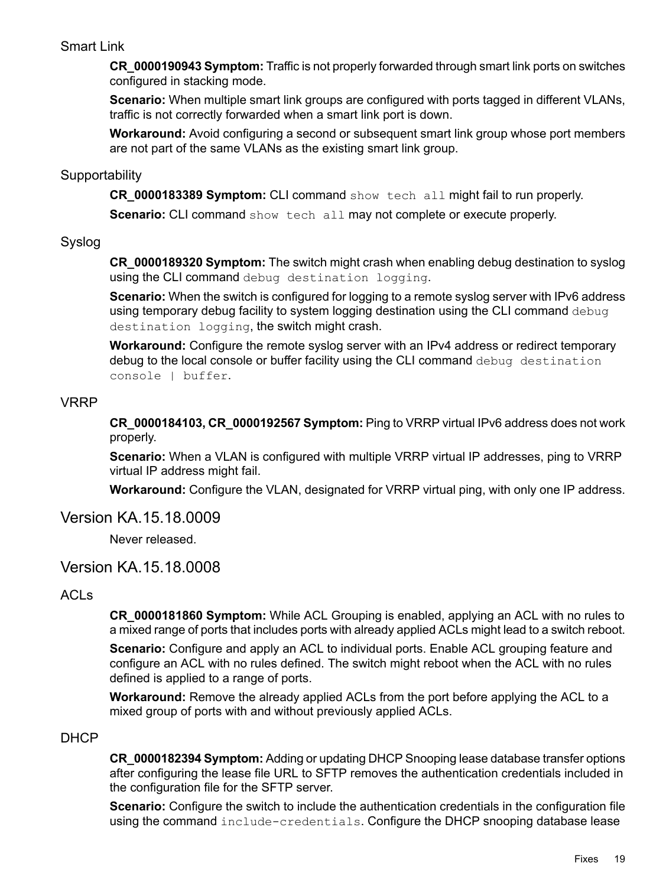# Smart Link

<span id="page-18-0"></span>**CR\_0000190943 Symptom:** Traffic is not properly forwarded through smart link ports on switches configured in stacking mode.

**Scenario:** When multiple smart link groups are configured with ports tagged in different VLANs, traffic is not correctly forwarded when a smart link port is down.

<span id="page-18-1"></span>**Workaround:** Avoid configuring a second or subsequent smart link group whose port members are not part of the same VLANs as the existing smart link group.

# **Supportability**

**CR\_0000183389 Symptom:** CLI command show tech all might fail to run properly.

<span id="page-18-2"></span>**Scenario:** CLI command show tech all may not complete or execute properly.

# Syslog

**CR\_0000189320 Symptom:** The switch might crash when enabling debug destination to syslog using the CLI command debug destination logging.

**Scenario:** When the switch is configured for logging to a remote syslog server with IPv6 address using temporary debug facility to system logging destination using the CLI command debug destination logging, the switch might crash.

<span id="page-18-3"></span>**Workaround:** Configure the remote syslog server with an IPv4 address or redirect temporary debug to the local console or buffer facility using the CLI command debug destination console | buffer.

# VRRP

**CR\_0000184103, CR\_0000192567 Symptom:** Ping to VRRP virtual IPv6 address does not work properly.

<span id="page-18-4"></span>**Scenario:** When a VLAN is configured with multiple VRRP virtual IP addresses, ping to VRRP virtual IP address might fail.

<span id="page-18-5"></span>**Workaround:** Configure the VLAN, designated for VRRP virtual ping, with only one IP address.

# Version KA.15.18.0009

<span id="page-18-6"></span>Never released.

# Version KA.15.18.0008

# ACLs

**CR\_0000181860 Symptom:** While ACL Grouping is enabled, applying an ACL with no rules to a mixed range of ports that includes ports with already applied ACLs might lead to a switch reboot.

<span id="page-18-7"></span>**Scenario:** Configure and apply an ACL to individual ports. Enable ACL grouping feature and configure an ACL with no rules defined. The switch might reboot when the ACL with no rules defined is applied to a range of ports.

**Workaround:** Remove the already applied ACLs from the port before applying the ACL to a mixed group of ports with and without previously applied ACLs.

# DHCP

**CR\_0000182394 Symptom:** Adding or updating DHCP Snooping lease database transfer options after configuring the lease file URL to SFTP removes the authentication credentials included in the configuration file for the SFTP server.

**Scenario:** Configure the switch to include the authentication credentials in the configuration file using the command include-credentials. Configure the DHCP snooping database lease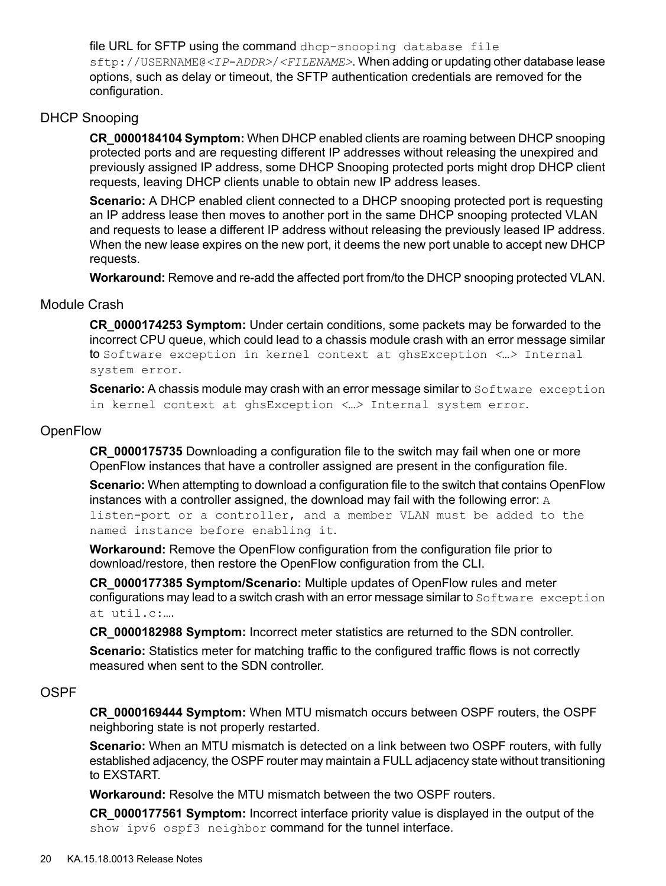file URL for SFTP using the command dhcp-snooping database file sftp://USERNAME@*<IP-ADDR>*/*<FILENAME>*. When adding or updating other database lease options, such as delay or timeout, the SFTP authentication credentials are removed for the configuration.

# DHCP Snooping

<span id="page-19-0"></span>**CR\_0000184104 Symptom:** When DHCP enabled clients are roaming between DHCP snooping protected ports and are requesting different IP addresses without releasing the unexpired and previously assigned IP address, some DHCP Snooping protected ports might drop DHCP client requests, leaving DHCP clients unable to obtain new IP address leases.

**Scenario:** A DHCP enabled client connected to a DHCP snooping protected port is requesting an IP address lease then moves to another port in the same DHCP snooping protected VLAN and requests to lease a different IP address without releasing the previously leased IP address. When the new lease expires on the new port, it deems the new port unable to accept new DHCP requests.

<span id="page-19-1"></span>**Workaround:** Remove and re-add the affected port from/to the DHCP snooping protected VLAN.

# Module Crash

**CR\_0000174253 Symptom:** Under certain conditions, some packets may be forwarded to the incorrect CPU queue, which could lead to a chassis module crash with an error message similar to Software exception in kernel context at ghsException *<…>* Internal system error.

<span id="page-19-2"></span>**Scenario:** A chassis module may crash with an error message similar to Software exception in kernel context at ghsException *<…>* Internal system error.

# **OpenFlow**

**CR\_0000175735** Downloading a configuration file to the switch may fail when one or more OpenFlow instances that have a controller assigned are present in the configuration file.

**Scenario:** When attempting to download a configuration file to the switch that contains OpenFlow instances with a controller assigned, the download may fail with the following error:  $A$ listen-port or a controller, and a member VLAN must be added to the named instance before enabling it.

**Workaround:** Remove the OpenFlow configuration from the configuration file prior to download/restore, then restore the OpenFlow configuration from the CLI.

**CR\_0000177385 Symptom/Scenario:** Multiple updates of OpenFlow rules and meter configurations may lead to a switch crash with an error message similar to Software exception at util.c:….

<span id="page-19-3"></span>**CR\_0000182988 Symptom:** Incorrect meter statistics are returned to the SDN controller. **Scenario:** Statistics meter for matching traffic to the configured traffic flows is not correctly measured when sent to the SDN controller.

# OSPF

**CR\_0000169444 Symptom:** When MTU mismatch occurs between OSPF routers, the OSPF neighboring state is not properly restarted.

**Scenario:** When an MTU mismatch is detected on a link between two OSPF routers, with fully established adjacency, the OSPF router may maintain a FULL adjacency state without transitioning to EXSTART.

**Workaround:** Resolve the MTU mismatch between the two OSPF routers.

**CR\_0000177561 Symptom:** Incorrect interface priority value is displayed in the output of the show ipv6 ospf3 neighbor command for the tunnel interface.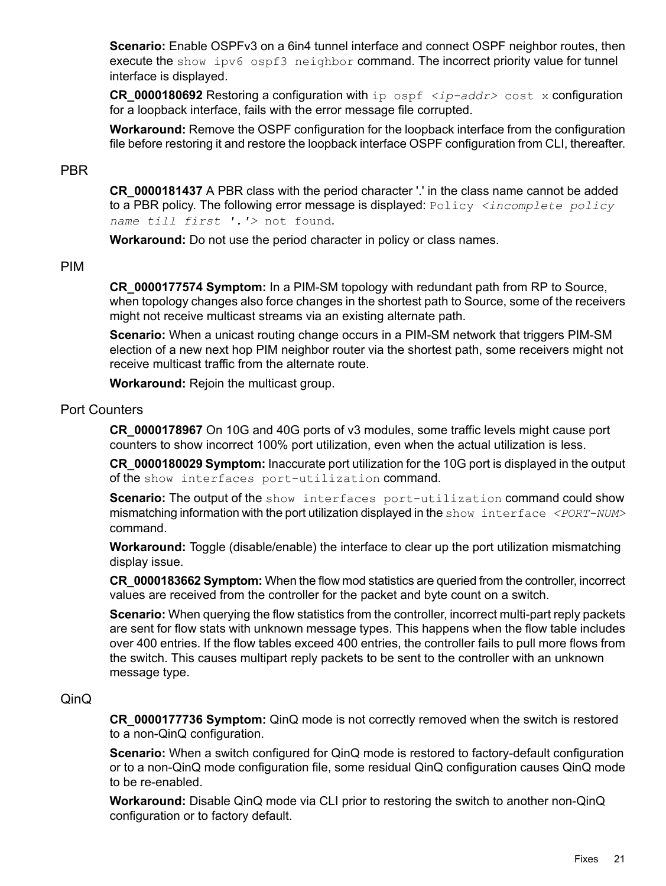**Scenario:** Enable OSPFv3 on a 6in4 tunnel interface and connect OSPF neighbor routes, then execute the show ipv6 ospf3 neighbor command. The incorrect priority value for tunnel interface is displayed.

**CR 0000180692** Restoring a configuration with ip ospf  $\langle ip\text{-}addr\rangle$  cost x configuration for a loopback interface, fails with the error message file corrupted.

<span id="page-20-0"></span>**Workaround:** Remove the OSPF configuration for the loopback interface from the configuration file before restoring it and restore the loopback interface OSPF configuration from CLI, thereafter.

# PBR

**CR\_0000181437** A PBR class with the period character '.' in the class name cannot be added to a PBR policy. The following error message is displayed: Policy *<incomplete policy name till first '.'>* not found.

<span id="page-20-1"></span>**Workaround:** Do not use the period character in policy or class names.

# PIM

**CR\_0000177574 Symptom:** In a PIM-SM topology with redundant path from RP to Source, when topology changes also force changes in the shortest path to Source, some of the receivers might not receive multicast streams via an existing alternate path.

**Scenario:** When a unicast routing change occurs in a PIM-SM network that triggers PIM-SM election of a new next hop PIM neighbor router via the shortest path, some receivers might not receive multicast traffic from the alternate route.

<span id="page-20-2"></span>**Workaround:** Rejoin the multicast group.

## Port Counters

**CR\_0000178967** On 10G and 40G ports of v3 modules, some traffic levels might cause port counters to show incorrect 100% port utilization, even when the actual utilization is less.

**CR\_0000180029 Symptom:** Inaccurate port utilization for the 10G port is displayed in the output of the show interfaces port-utilization command.

**Scenario:** The output of the show interfaces port-utilization command could show mismatching information with the port utilization displayed in the show interface *<PORT-NUM>* command.

**Workaround:** Toggle (disable/enable) the interface to clear up the port utilization mismatching display issue.

**CR\_0000183662 Symptom:** When the flow mod statistics are queried from the controller, incorrect values are received from the controller for the packet and byte count on a switch.

<span id="page-20-3"></span>**Scenario:** When querying the flow statistics from the controller, incorrect multi-part reply packets are sent for flow stats with unknown message types. This happens when the flow table includes over 400 entries. If the flow tables exceed 400 entries, the controller fails to pull more flows from the switch. This causes multipart reply packets to be sent to the controller with an unknown message type.

# QinQ

**CR\_0000177736 Symptom:** QinQ mode is not correctly removed when the switch is restored to a non-QinQ configuration.

**Scenario:** When a switch configured for QinQ mode is restored to factory-default configuration or to a non-QinQ mode configuration file, some residual QinQ configuration causes QinQ mode to be re-enabled.

**Workaround:** Disable QinQ mode via CLI prior to restoring the switch to another non-QinQ configuration or to factory default.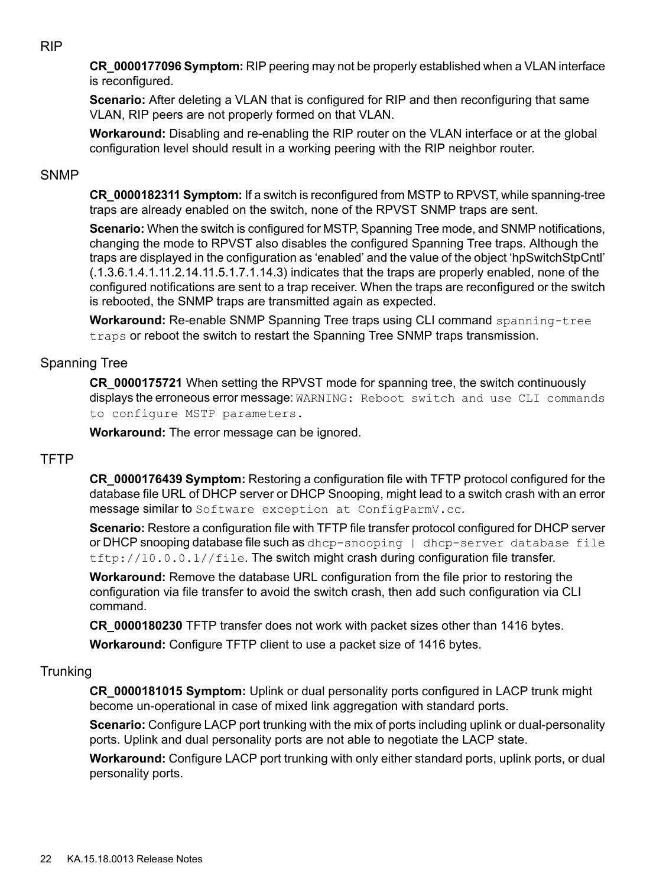<span id="page-21-0"></span>**CR\_0000177096 Symptom:** RIP peering may not be properly established when a VLAN interface is reconfigured.

**Scenario:** After deleting a VLAN that is configured for RIP and then reconfiguring that same VLAN, RIP peers are not properly formed on that VLAN.

<span id="page-21-1"></span>**Workaround:** Disabling and re-enabling the RIP router on the VLAN interface or at the global configuration level should result in a working peering with the RIP neighbor router.

# **SNMP**

**CR\_0000182311 Symptom:** If a switch is reconfigured from MSTP to RPVST, while spanning-tree traps are already enabled on the switch, none of the RPVST SNMP traps are sent.

**Scenario:** When the switch is configured for MSTP, Spanning Tree mode, and SNMP notifications, changing the mode to RPVST also disables the configured Spanning Tree traps. Although the traps are displayed in the configuration as 'enabled' and the value of the object 'hpSwitchStpCntl' (.1.3.6.1.4.1.11.2.14.11.5.1.7.1.14.3) indicates that the traps are properly enabled, none of the configured notifications are sent to a trap receiver. When the traps are reconfigured or the switch is rebooted, the SNMP traps are transmitted again as expected.

<span id="page-21-2"></span>**Workaround:** Re-enable SNMP Spanning Tree traps using CLI command spanning-tree traps or reboot the switch to restart the Spanning Tree SNMP traps transmission.

# Spanning Tree

<span id="page-21-3"></span>**CR\_0000175721** When setting the RPVST mode for spanning tree, the switch continuously displays the erroneous error message: WARNING: Reboot switch and use CLI commands to configure MSTP parameters.

**Workaround:** The error message can be ignored.

# **TFTP**

**CR\_0000176439 Symptom:** Restoring a configuration file with TFTP protocol configured for the database file URL of DHCP server or DHCP Snooping, might lead to a switch crash with an error message similar to Software exception at ConfigParmV.cc.

**Scenario:** Restore a configuration file with TFTP file transfer protocol configured for DHCP server or DHCP snooping database file such as dhcp-snooping | dhcp-server database file  $tftp://10.0.0.1//file.$  The switch might crash during configuration file transfer.

<span id="page-21-4"></span>**Workaround:** Remove the database URL configuration from the file prior to restoring the configuration via file transfer to avoid the switch crash, then add such configuration via CLI command.

**CR\_0000180230** TFTP transfer does not work with packet sizes other than 1416 bytes. **Workaround:** Configure TFTP client to use a packet size of 1416 bytes.

# **Trunking**

**CR\_0000181015 Symptom:** Uplink or dual personality ports configured in LACP trunk might become un-operational in case of mixed link aggregation with standard ports.

**Scenario:** Configure LACP port trunking with the mix of ports including uplink or dual-personality ports. Uplink and dual personality ports are not able to negotiate the LACP state.

**Workaround:** Configure LACP port trunking with only either standard ports, uplink ports, or dual personality ports.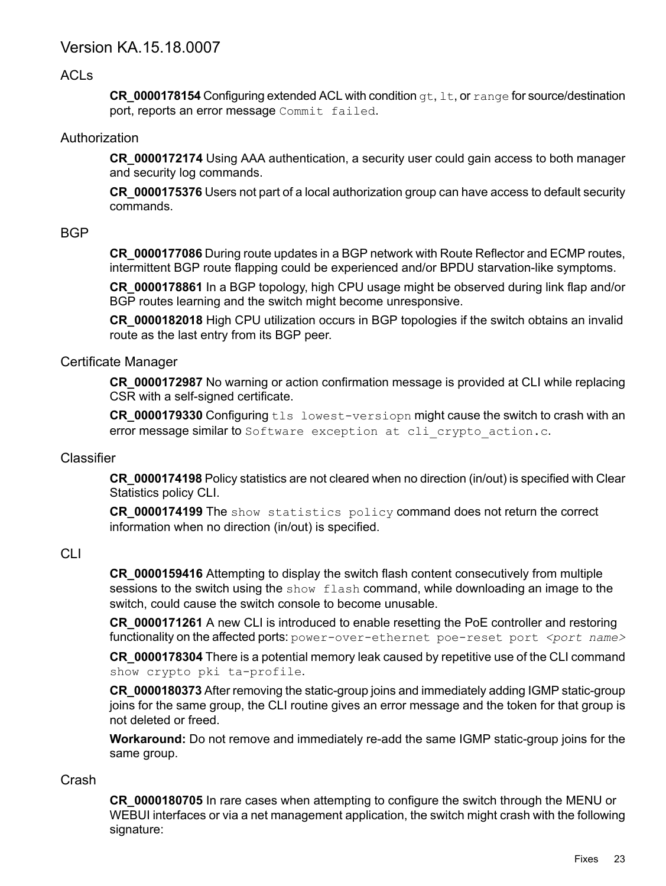# <span id="page-22-0"></span>Version KA.15.18.0007

# ACLs

<span id="page-22-2"></span><span id="page-22-1"></span>**CR\_0000178154** Configuring extended ACL with condition gt, lt, or range for source/destination port, reports an error message Commit failed.

# Authorization

**CR\_0000172174** Using AAA authentication, a security user could gain access to both manager and security log commands.

<span id="page-22-3"></span>**CR\_0000175376** Users not part of a local authorization group can have access to default security commands.

# **BGP**

**CR\_0000177086** During route updates in a BGP network with Route Reflector and ECMP routes, intermittent BGP route flapping could be experienced and/or BPDU starvation-like symptoms.

**CR\_0000178861** In a BGP topology, high CPU usage might be observed during link flap and/or BGP routes learning and the switch might become unresponsive.

<span id="page-22-4"></span>**CR\_0000182018** High CPU utilization occurs in BGP topologies if the switch obtains an invalid route as the last entry from its BGP peer.

# Certificate Manager

**CR\_0000172987** No warning or action confirmation message is provided at CLI while replacing CSR with a self-signed certificate.

<span id="page-22-5"></span>**CR\_0000179330** Configuring tls lowest-versiopn might cause the switch to crash with an error message similar to Software exception at cli crypto action.c.

# **Classifier**

<span id="page-22-6"></span>**CR\_0000174198** Policy statistics are not cleared when no direction (in/out) is specified with Clear Statistics policy CLI.

**CR\_0000174199** The show statistics policy command does not return the correct information when no direction (in/out) is specified.

# CLI

**CR\_0000159416** Attempting to display the switch flash content consecutively from multiple sessions to the switch using the show flash command, while downloading an image to the switch, could cause the switch console to become unusable.

**CR\_0000171261** A new CLI is introduced to enable resetting the PoE controller and restoring functionality on the affected ports: power-over-ethernet poe-reset port *<port name>* 

**CR\_0000178304** There is a potential memory leak caused by repetitive use of the CLI command show crypto pki ta-profile.

<span id="page-22-7"></span>**CR\_0000180373** After removing the static-group joins and immediately adding IGMP static-group joins for the same group, the CLI routine gives an error message and the token for that group is not deleted or freed.

**Workaround:** Do not remove and immediately re-add the same IGMP static-group joins for the same group.

# Crash

**CR\_0000180705** In rare cases when attempting to configure the switch through the MENU or WEBUI interfaces or via a net management application, the switch might crash with the following signature: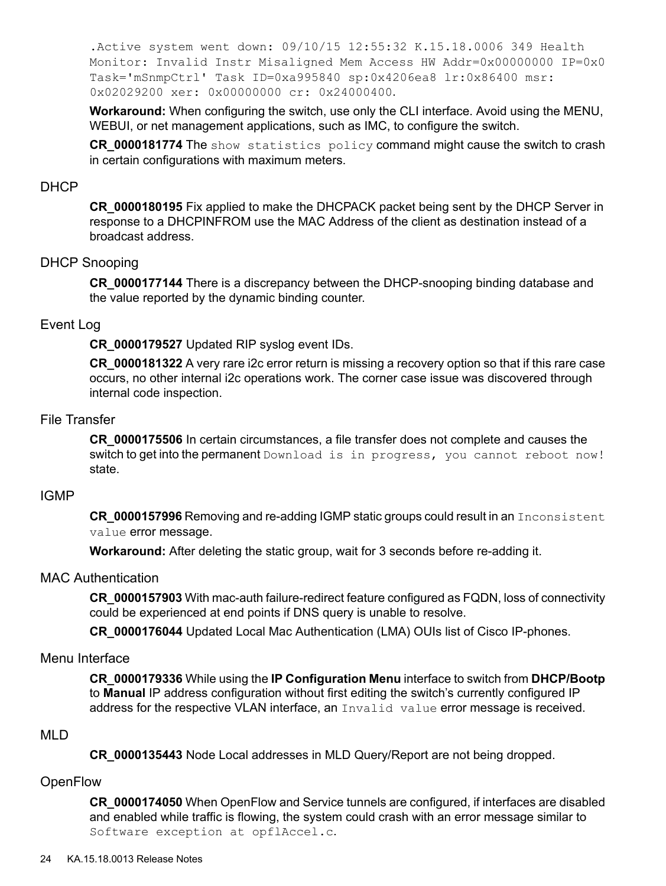.Active system went down: 09/10/15 12:55:32 K.15.18.0006 349 Health Monitor: Invalid Instr Misaligned Mem Access HW Addr=0x00000000 IP=0x0 Task='mSnmpCtrl' Task ID=0xa995840 sp:0x4206ea8 lr:0x86400 msr: 0x02029200 xer: 0x00000000 cr: 0x24000400.

**Workaround:** When configuring the switch, use only the CLI interface. Avoid using the MENU, WEBUI, or net management applications, such as IMC, to configure the switch.

<span id="page-23-0"></span>**CR\_0000181774** The show statistics policy command might cause the switch to crash in certain configurations with maximum meters.

# DHCP

<span id="page-23-1"></span>**CR\_0000180195** Fix applied to make the DHCPACK packet being sent by the DHCP Server in response to a DHCPINFROM use the MAC Address of the client as destination instead of a broadcast address.

#### DHCP Snooping

<span id="page-23-2"></span>**CR\_0000177144** There is a discrepancy between the DHCP-snooping binding database and the value reported by the dynamic binding counter.

#### Event Log

**CR\_0000179527** Updated RIP syslog event IDs.

<span id="page-23-3"></span>**CR\_0000181322** A very rare i2c error return is missing a recovery option so that if this rare case occurs, no other internal i2c operations work. The corner case issue was discovered through internal code inspection.

# File Transfer

<span id="page-23-4"></span>**CR\_0000175506** In certain circumstances, a file transfer does not complete and causes the switch to get into the permanent Download is in progress, you cannot reboot now! state.

#### IGMP

<span id="page-23-5"></span>**CR\_0000157996** Removing and re-adding IGMP static groups could result in an Inconsistent value error message.

**Workaround:** After deleting the static group, wait for 3 seconds before re-adding it.

#### MAC Authentication

<span id="page-23-6"></span>**CR\_0000157903** With mac-auth failure-redirect feature configured as FQDN, loss of connectivity could be experienced at end points if DNS query is unable to resolve.

<span id="page-23-7"></span>**CR\_0000176044** Updated Local Mac Authentication (LMA) OUIs list of Cisco IP-phones.

#### Menu Interface

<span id="page-23-8"></span>**CR\_0000179336** While using the **IP Configuration Menu** interface to switch from **DHCP/Bootp** to **Manual** IP address configuration without first editing the switch's currently configured IP address for the respective VLAN interface, an Invalid value error message is received.

#### MLD

**CR\_0000135443** Node Local addresses in MLD Query/Report are not being dropped.

#### **OpenFlow**

**CR\_0000174050** When OpenFlow and Service tunnels are configured, if interfaces are disabled and enabled while traffic is flowing, the system could crash with an error message similar to Software exception at opflAccel.c.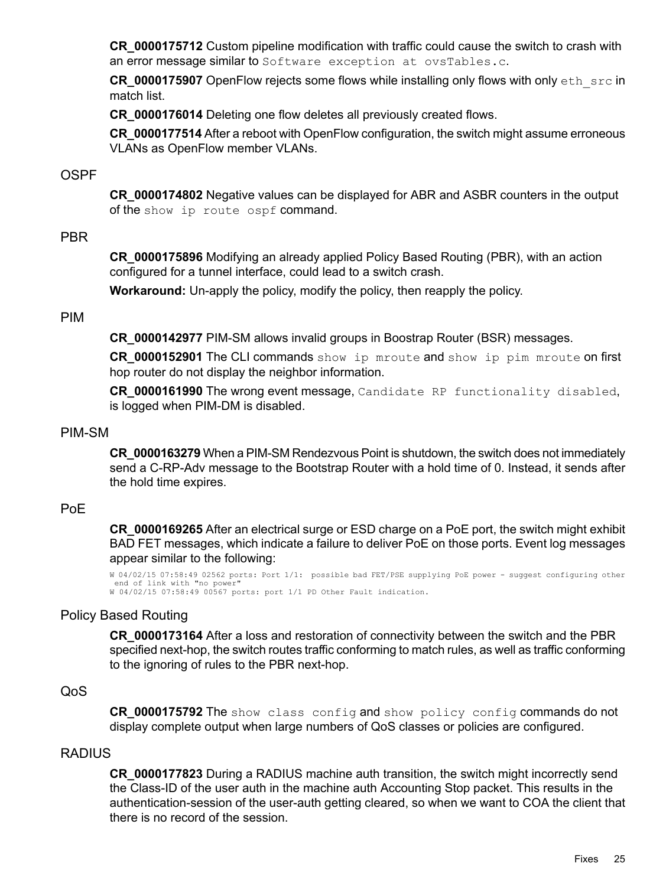**CR\_0000175712** Custom pipeline modification with traffic could cause the switch to crash with an error message similar to Software exception at ovsTables.c.

**CR\_0000175907** OpenFlow rejects some flows while installing only flows with only eth src in match list.

**CR\_0000176014** Deleting one flow deletes all previously created flows.

<span id="page-24-0"></span>**CR\_0000177514** After a reboot with OpenFlow configuration, the switch might assume erroneous VLANs as OpenFlow member VLANs.

# **OSPF**

<span id="page-24-1"></span>**CR\_0000174802** Negative values can be displayed for ABR and ASBR counters in the output of the show ip route ospf command.

# PBR

**CR\_0000175896** Modifying an already applied Policy Based Routing (PBR), with an action configured for a tunnel interface, could lead to a switch crash.

<span id="page-24-2"></span>**Workaround:** Un-apply the policy, modify the policy, then reapply the policy.

# PIM

**CR\_0000142977** PIM-SM allows invalid groups in Boostrap Router (BSR) messages.

**CR\_0000152901** The CLI commands show ip mroute and show ip pim mroute on first hop router do not display the neighbor information.

<span id="page-24-3"></span>**CR\_0000161990** The wrong event message, Candidate RP functionality disabled, is logged when PIM-DM is disabled.

# PIM-SM

<span id="page-24-4"></span>**CR\_0000163279** When a PIM-SM Rendezvous Point is shutdown, the switch does not immediately send a C-RP-Adv message to the Bootstrap Router with a hold time of 0. Instead, it sends after the hold time expires.

# PoE

<span id="page-24-5"></span>**CR\_0000169265** After an electrical surge or ESD charge on a PoE port, the switch might exhibit BAD FET messages, which indicate a failure to deliver PoE on those ports. Event log messages appear similar to the following:

W 04/02/15 07:58:49 02562 ports: Port 1/1: possible bad FET/PSE supplying PoE power - suggest configuring other end of link with "no power" W 04/02/15 07:58:49 00567 ports: port 1/1 PD Other Fault indication.

# Policy Based Routing

<span id="page-24-7"></span><span id="page-24-6"></span>**CR\_0000173164** After a loss and restoration of connectivity between the switch and the PBR specified next-hop, the switch routes traffic conforming to match rules, as well as traffic conforming to the ignoring of rules to the PBR next-hop.

# QoS

**CR\_0000175792** The show class config and show policy config commands do not display complete output when large numbers of QoS classes or policies are configured.

# RADIUS

**CR\_0000177823** During a RADIUS machine auth transition, the switch might incorrectly send the Class-ID of the user auth in the machine auth Accounting Stop packet. This results in the authentication-session of the user-auth getting cleared, so when we want to COA the client that there is no record of the session.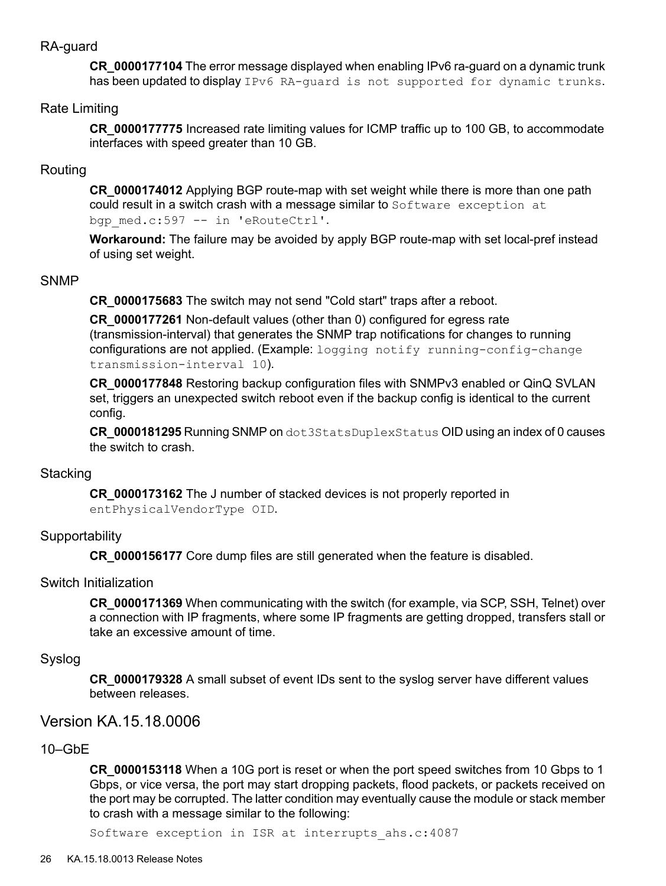# RA-guard

<span id="page-25-1"></span><span id="page-25-0"></span>**CR\_0000177104** The error message displayed when enabling IPv6 ra-guard on a dynamic trunk has been updated to display IPv6 RA-quard is not supported for dynamic trunks.

## Rate Limiting

<span id="page-25-2"></span>**CR\_0000177775** Increased rate limiting values for ICMP traffic up to 100 GB, to accommodate interfaces with speed greater than 10 GB.

# Routing

**CR\_0000174012** Applying BGP route-map with set weight while there is more than one path could result in a switch crash with a message similar to Software exception at bgp\_med.c:597 -- in 'eRouteCtrl'.

<span id="page-25-3"></span>**Workaround:** The failure may be avoided by apply BGP route-map with set local-pref instead of using set weight.

### SNMP

**CR\_0000175683** The switch may not send "Cold start" traps after a reboot.

**CR\_0000177261** Non-default values (other than 0) configured for egress rate (transmission-interval) that generates the SNMP trap notifications for changes to running configurations are not applied. (Example: logging notify running-config-change transmission-interval 10).

**CR\_0000177848** Restoring backup configuration files with SNMPv3 enabled or QinQ SVLAN set, triggers an unexpected switch reboot even if the backup config is identical to the current config.

<span id="page-25-4"></span>**CR\_0000181295** Running SNMP on dot3StatsDuplexStatus OID using an index of 0 causes the switch to crash.

#### **Stacking**

<span id="page-25-6"></span><span id="page-25-5"></span>**CR\_0000173162** The J number of stacked devices is not properly reported in entPhysicalVendorType OID.

#### **Supportability**

**CR\_0000156177** Core dump files are still generated when the feature is disabled.

#### Switch Initialization

<span id="page-25-8"></span><span id="page-25-7"></span>**CR\_0000171369** When communicating with the switch (for example, via SCP, SSH, Telnet) over a connection with IP fragments, where some IP fragments are getting dropped, transfers stall or take an excessive amount of time.

#### Syslog

<span id="page-25-9"></span>**CR\_0000179328** A small subset of event IDs sent to the syslog server have different values between releases.

# Version KA.15.18.0006

# 10–GbE

**CR\_0000153118** When a 10G port is reset or when the port speed switches from 10 Gbps to 1 Gbps, or vice versa, the port may start dropping packets, flood packets, or packets received on the port may be corrupted. The latter condition may eventually cause the module or stack member to crash with a message similar to the following:

Software exception in ISR at interrupts\_ahs.c:4087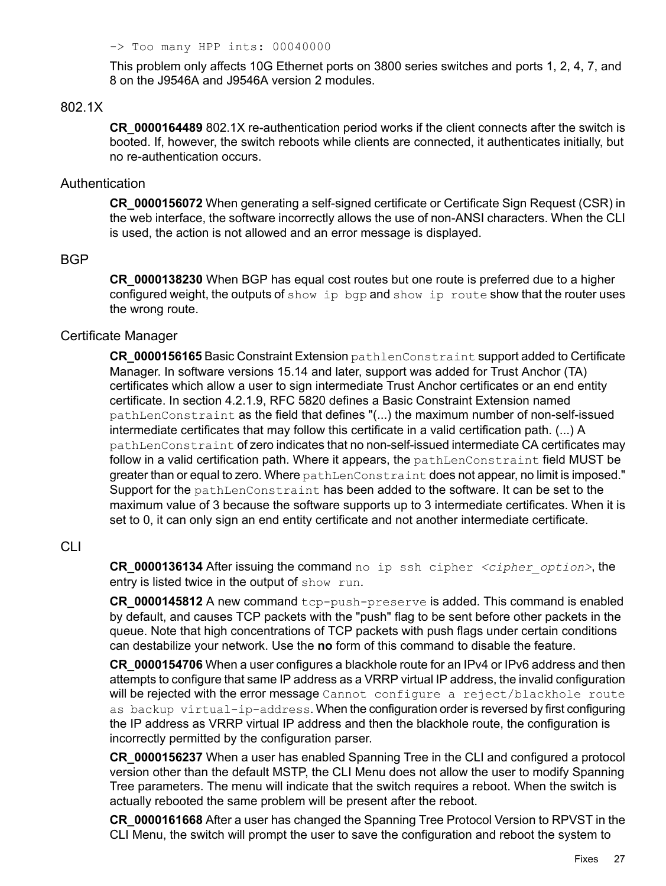-> Too many HPP ints: 00040000

<span id="page-26-0"></span>This problem only affects 10G Ethernet ports on 3800 series switches and ports 1, 2, 4, 7, and 8 on the J9546A and J9546A version 2 modules.

## 802.1X

<span id="page-26-1"></span>**CR\_0000164489** 802.1X re-authentication period works if the client connects after the switch is booted. If, however, the switch reboots while clients are connected, it authenticates initially, but no re-authentication occurs.

#### Authentication

<span id="page-26-2"></span>**CR\_0000156072** When generating a self-signed certificate or Certificate Sign Request (CSR) in the web interface, the software incorrectly allows the use of non-ANSI characters. When the CLI is used, the action is not allowed and an error message is displayed.

# BGP

<span id="page-26-3"></span>**CR\_0000138230** When BGP has equal cost routes but one route is preferred due to a higher configured weight, the outputs of show ip bgp and show ip route show that the router uses the wrong route.

# Certificate Manager

**CR\_0000156165** Basic Constraint Extension pathlenConstraint support added to Certificate Manager. In software versions 15.14 and later, support was added for Trust Anchor (TA) certificates which allow a user to sign intermediate Trust Anchor certificates or an end entity certificate. In section 4.2.1.9, RFC 5820 defines a Basic Constraint Extension named pathLenConstraint as the field that defines "(...) the maximum number of non-self-issued intermediate certificates that may follow this certificate in a valid certification path. (...) A pathLenConstraint of zero indicates that no non-self-issued intermediate CA certificates may follow in a valid certification path. Where it appears, the pathLenConstraint field MUST be greater than or equal to zero. Where pathLenConstraint does not appear, no limit is imposed." Support for the pathLenConstraint has been added to the software. It can be set to the maximum value of 3 because the software supports up to 3 intermediate certificates. When it is set to 0, it can only sign an end entity certificate and not another intermediate certificate.

# <span id="page-26-4"></span>CLI

**CR\_0000136134** After issuing the command no ip ssh cipher *<cipher option>*, the entry is listed twice in the output of show run.

**CR\_0000145812** A new command tcp-push-preserve is added. This command is enabled by default, and causes TCP packets with the "push" flag to be sent before other packets in the queue. Note that high concentrations of TCP packets with push flags under certain conditions can destabilize your network. Use the **no** form of this command to disable the feature.

**CR\_0000154706** When a user configures a blackhole route for an IPv4 or IPv6 address and then attempts to configure that same IP address as a VRRP virtual IP address, the invalid configuration will be rejected with the error message Cannot configure a reject/blackhole route as backup virtual-ip-address. When the configuration order is reversed by first configuring the IP address as VRRP virtual IP address and then the blackhole route, the configuration is incorrectly permitted by the configuration parser.

**CR\_0000156237** When a user has enabled Spanning Tree in the CLI and configured a protocol version other than the default MSTP, the CLI Menu does not allow the user to modify Spanning Tree parameters. The menu will indicate that the switch requires a reboot. When the switch is actually rebooted the same problem will be present after the reboot.

**CR\_0000161668** After a user has changed the Spanning Tree Protocol Version to RPVST in the CLI Menu, the switch will prompt the user to save the configuration and reboot the system to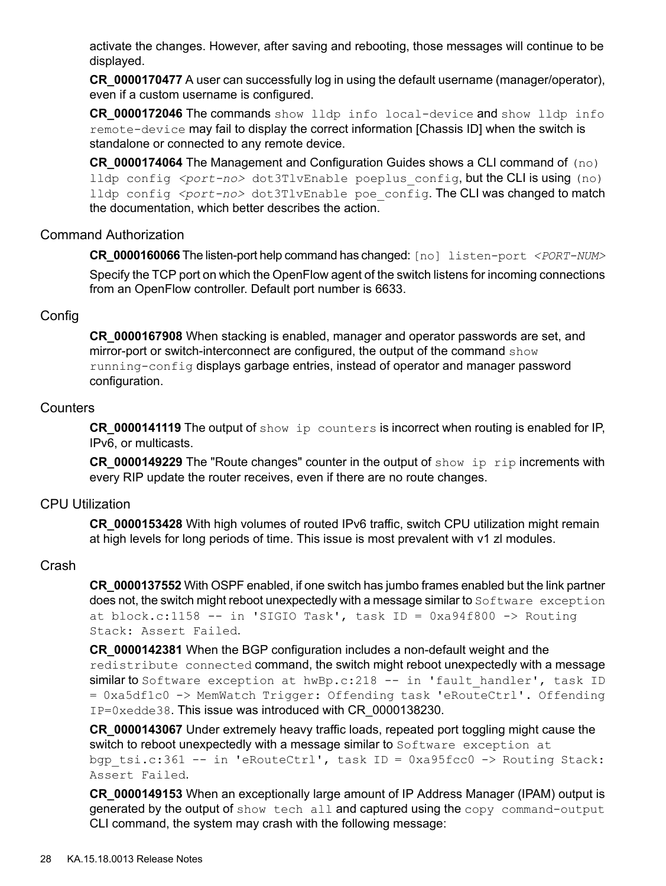activate the changes. However, after saving and rebooting, those messages will continue to be displayed.

**CR\_0000170477** A user can successfully log in using the default username (manager/operator), even if a custom username is configured.

**CR\_0000172046** The commands show lldp info local-device and show lldp info remote-device may fail to display the correct information [Chassis ID] when the switch is standalone or connected to any remote device.

<span id="page-27-0"></span>**CR** 0000174064 The Management and Configuration Guides shows a CLI command of (no) lldp config <port-no> dot3TlvEnable poeplus config, but the CLI is using (no) lldp config *<port-no>* dot3TlvEnable poe config. The CLI was changed to match the documentation, which better describes the action.

# Command Authorization

**CR\_0000160066** The listen-port help command has changed: [no] listen-port *<PORT-NUM>*

<span id="page-27-1"></span>Specify the TCP port on which the OpenFlow agent of the switch listens for incoming connections from an OpenFlow controller. Default port number is 6633.

# Config

<span id="page-27-2"></span>**CR\_0000167908** When stacking is enabled, manager and operator passwords are set, and mirror-port or switch-interconnect are configured, the output of the command show running-config displays garbage entries, instead of operator and manager password configuration.

# Counters

**CR\_0000141119** The output of show ip counters is incorrect when routing is enabled for IP, IPv6, or multicasts.

<span id="page-27-3"></span>**CR\_0000149229** The "Route changes" counter in the output of show ip rip increments with every RIP update the router receives, even if there are no route changes.

# CPU Utilization

<span id="page-27-4"></span>**CR\_0000153428** With high volumes of routed IPv6 traffic, switch CPU utilization might remain at high levels for long periods of time. This issue is most prevalent with v1 zl modules.

# Crash

**CR\_0000137552** With OSPF enabled, if one switch has jumbo frames enabled but the link partner does not, the switch might reboot unexpectedly with a message similar to Software exception at block.c:1158 -- in 'SIGIO Task', task ID = 0xa94f800 -> Routing Stack: Assert Failed.

**CR\_0000142381** When the BGP configuration includes a non-default weight and the redistribute connected command, the switch might reboot unexpectedly with a message similar to Software exception at hwBp.c: 218 -- in 'fault handler', task ID = 0xa5df1c0 -> MemWatch Trigger: Offending task 'eRouteCtrl'. Offending IP=0xedde38. This issue was introduced with CR\_0000138230.

**CR\_0000143067** Under extremely heavy traffic loads, repeated port toggling might cause the switch to reboot unexpectedly with a message similar to Software exception at bgp tsi.c:361 -- in 'eRouteCtrl', task ID = 0xa95fcc0 -> Routing Stack: Assert Failed.

**CR\_0000149153** When an exceptionally large amount of IP Address Manager (IPAM) output is generated by the output of show tech all and captured using the copy command-output CLI command, the system may crash with the following message: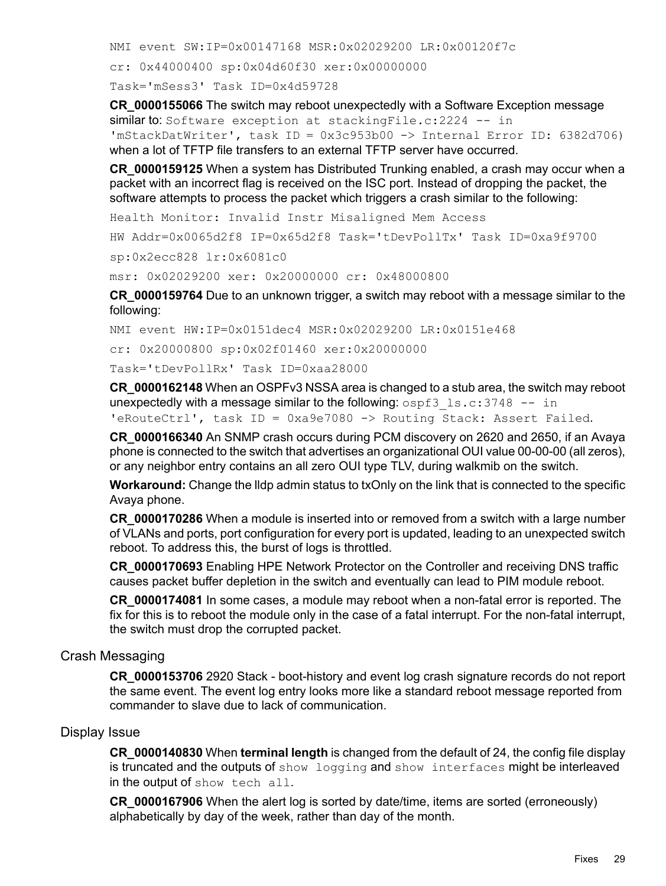NMI event SW:IP=0x00147168 MSR:0x02029200 LR:0x00120f7c cr: 0x44000400 sp:0x04d60f30 xer:0x00000000 Task='mSess3' Task ID=0x4d59728

**CR\_0000155066** The switch may reboot unexpectedly with a Software Exception message similar to: Software exception at stackingFile.c: 2224 -- in 'mStackDatWriter', task ID = 0x3c953b00 -> Internal Error ID: 6382d706) when a lot of TFTP file transfers to an external TFTP server have occurred.

**CR\_0000159125** When a system has Distributed Trunking enabled, a crash may occur when a packet with an incorrect flag is received on the ISC port. Instead of dropping the packet, the software attempts to process the packet which triggers a crash similar to the following:

Health Monitor: Invalid Instr Misaligned Mem Access

HW Addr=0x0065d2f8 IP=0x65d2f8 Task='tDevPollTx' Task ID=0xa9f9700 sp:0x2ecc828 lr:0x6081c0

msr: 0x02029200 xer: 0x20000000 cr: 0x48000800

**CR\_0000159764** Due to an unknown trigger, a switch may reboot with a message similar to the following:

NMI event HW:IP=0x0151dec4 MSR:0x02029200 LR:0x0151e468

cr: 0x20000800 sp:0x02f01460 xer:0x20000000

Task='tDevPollRx' Task ID=0xaa28000

**CR\_0000162148** When an OSPFv3 NSSA area is changed to a stub area, the switch may reboot unexpectedly with a message similar to the following:  $ospf3$  ls.c:3748 -- in 'eRouteCtrl', task ID = 0xa9e7080 -> Routing Stack: Assert Failed.

**CR\_0000166340** An SNMP crash occurs during PCM discovery on 2620 and 2650, if an Avaya phone is connected to the switch that advertises an organizational OUI value 00-00-00 (all zeros), or any neighbor entry contains an all zero OUI type TLV, during walkmib on the switch.

**Workaround:** Change the lldp admin status to txOnly on the link that is connected to the specific Avaya phone.

**CR\_0000170286** When a module is inserted into or removed from a switch with a large number of VLANs and ports, port configuration for every port is updated, leading to an unexpected switch reboot. To address this, the burst of logs is throttled.

**CR\_0000170693** Enabling HPE Network Protector on the Controller and receiving DNS traffic causes packet buffer depletion in the switch and eventually can lead to PIM module reboot.

<span id="page-28-0"></span>**CR\_0000174081** In some cases, a module may reboot when a non-fatal error is reported. The fix for this is to reboot the module only in the case of a fatal interrupt. For the non-fatal interrupt, the switch must drop the corrupted packet.

# Crash Messaging

<span id="page-28-1"></span>**CR\_0000153706** 2920 Stack - boot-history and event log crash signature records do not report the same event. The event log entry looks more like a standard reboot message reported from commander to slave due to lack of communication.

# Display Issue

**CR\_0000140830** When **terminal length** is changed from the default of 24, the config file display is truncated and the outputs of show logging and show interfaces might be interleaved in the output of show tech all.

**CR\_0000167906** When the alert log is sorted by date/time, items are sorted (erroneously) alphabetically by day of the week, rather than day of the month.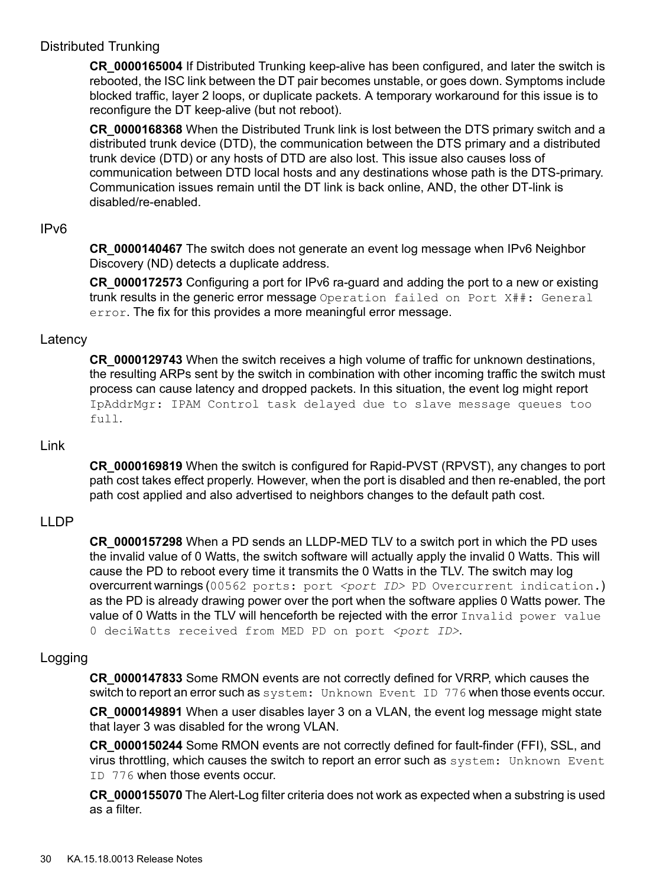# Distributed Trunking

<span id="page-29-0"></span>**CR\_0000165004** If Distributed Trunking keep-alive has been configured, and later the switch is rebooted, the ISC link between the DT pair becomes unstable, or goes down. Symptoms include blocked traffic, layer 2 loops, or duplicate packets. A temporary workaround for this issue is to reconfigure the DT keep-alive (but not reboot).

**CR\_0000168368** When the Distributed Trunk link is lost between the DTS primary switch and a distributed trunk device (DTD), the communication between the DTS primary and a distributed trunk device (DTD) or any hosts of DTD are also lost. This issue also causes loss of communication between DTD local hosts and any destinations whose path is the DTS-primary. Communication issues remain until the DT link is back online, AND, the other DT-link is disabled/re-enabled.

# <span id="page-29-1"></span>IPv6

**CR\_0000140467** The switch does not generate an event log message when IPv6 Neighbor Discovery (ND) detects a duplicate address.

<span id="page-29-2"></span>**CR\_0000172573** Configuring a port for IPv6 ra-guard and adding the port to a new or existing trunk results in the generic error message Operation failed on Port X##: General error. The fix for this provides a more meaningful error message.

# **Latency**

<span id="page-29-3"></span>**CR\_0000129743** When the switch receives a high volume of traffic for unknown destinations, the resulting ARPs sent by the switch in combination with other incoming traffic the switch must process can cause latency and dropped packets. In this situation, the event log might report IpAddrMgr: IPAM Control task delayed due to slave message queues too full.

# Link

<span id="page-29-4"></span>**CR\_0000169819** When the switch is configured for Rapid-PVST (RPVST), any changes to port path cost takes effect properly. However, when the port is disabled and then re-enabled, the port path cost applied and also advertised to neighbors changes to the default path cost.

# LLDP

<span id="page-29-5"></span>**CR\_0000157298** When a PD sends an LLDP-MED TLV to a switch port in which the PD uses the invalid value of 0 Watts, the switch software will actually apply the invalid 0 Watts. This will cause the PD to reboot every time it transmits the 0 Watts in the TLV. The switch may log overcurrent warnings (00562 ports: port <port *ID>* PD Overcurrent indication.) as the PD is already drawing power over the port when the software applies 0 Watts power. The value of 0 Watts in the TLV will henceforth be rejected with the error Invalid power value 0 deciWatts received from MED PD on port <port ID>.

# Logging

**CR\_0000147833** Some RMON events are not correctly defined for VRRP, which causes the switch to report an error such as system: Unknown Event ID 776 when those events occur.

**CR\_0000149891** When a user disables layer 3 on a VLAN, the event log message might state that layer 3 was disabled for the wrong VLAN.

**CR\_0000150244** Some RMON events are not correctly defined for fault-finder (FFI), SSL, and virus throttling, which causes the switch to report an error such as system: Unknown Event ID 776 when those events occur.

**CR\_0000155070** The Alert-Log filter criteria does not work as expected when a substring is used as a filter.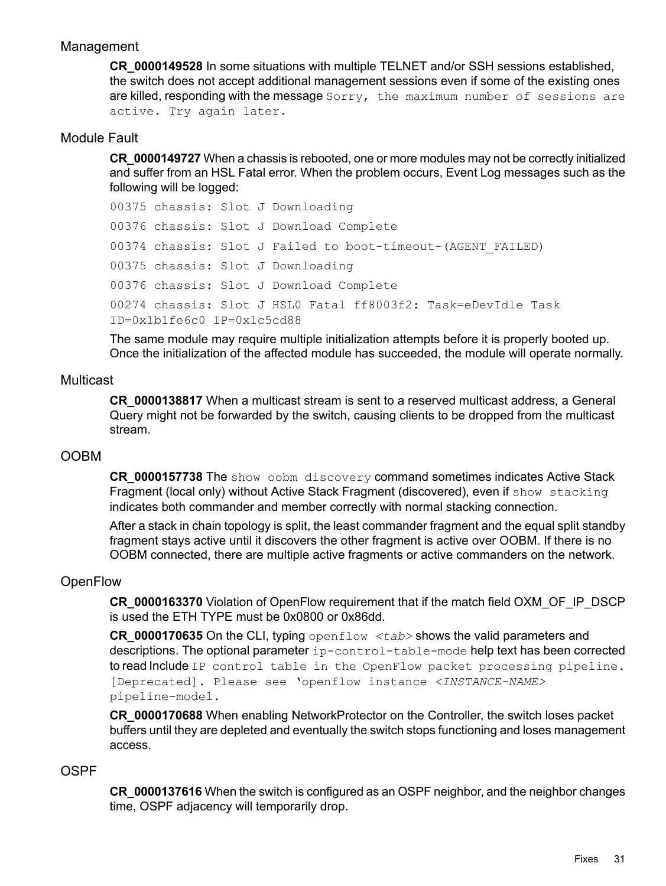# Management

<span id="page-30-0"></span>**CR\_0000149528** In some situations with multiple TELNET and/or SSH sessions established, the switch does not accept additional management sessions even if some of the existing ones are killed, responding with the message Sorry, the maximum number of sessions are active. Try again later.

# Module Fault

<span id="page-30-1"></span>**CR\_0000149727** When a chassis is rebooted, one or more modules may not be correctly initialized and suffer from an HSL Fatal error. When the problem occurs, Event Log messages such as the following will be logged:

```
00375 chassis: Slot J Downloading
00376 chassis: Slot J Download Complete
00374 chassis: Slot J Failed to boot-timeout-(AGENT_FAILED)
00375 chassis: Slot J Downloading
00376 chassis: Slot J Download Complete
00274 chassis: Slot J HSL0 Fatal ff8003f2: Task=eDevIdle Task
ID=0x1b1fe6c0 IP=0x1c5cd88
```
<span id="page-30-2"></span>The same module may require multiple initialization attempts before it is properly booted up. Once the initialization of the affected module has succeeded, the module will operate normally.

# **Multicast**

<span id="page-30-3"></span>**CR\_0000138817** When a multicast stream is sent to a reserved multicast address, a General Query might not be forwarded by the switch, causing clients to be dropped from the multicast stream.

# OOBM

**CR\_0000157738** The show oobm discovery command sometimes indicates Active Stack Fragment (local only) without Active Stack Fragment (discovered), even if show stacking indicates both commander and member correctly with normal stacking connection.

<span id="page-30-4"></span>After a stack in chain topology is split, the least commander fragment and the equal split standby fragment stays active until it discovers the other fragment is active over OOBM. If there is no OOBM connected, there are multiple active fragments or active commanders on the network.

# **OpenFlow**

**CR\_0000163370** Violation of OpenFlow requirement that if the match field OXM\_OF\_IP\_DSCP is used the ETH TYPE must be 0x0800 or 0x86dd.

**CR\_0000170635** On the CLI, typing openflow *<tab>* shows the valid parameters and descriptions. The optional parameter ip-control-table-mode help text has been corrected to read Include IP control table in the OpenFlow packet processing pipeline. [Deprecated]. Please see 'openflow instance *<INSTANCE-NAME>* pipeline-model.

<span id="page-30-5"></span>**CR\_0000170688** When enabling NetworkProtector on the Controller, the switch loses packet buffers until they are depleted and eventually the switch stops functioning and loses management access.

# OSPF

**CR\_0000137616** When the switch is configured as an OSPF neighbor, and the neighbor changes time, OSPF adjacency will temporarily drop.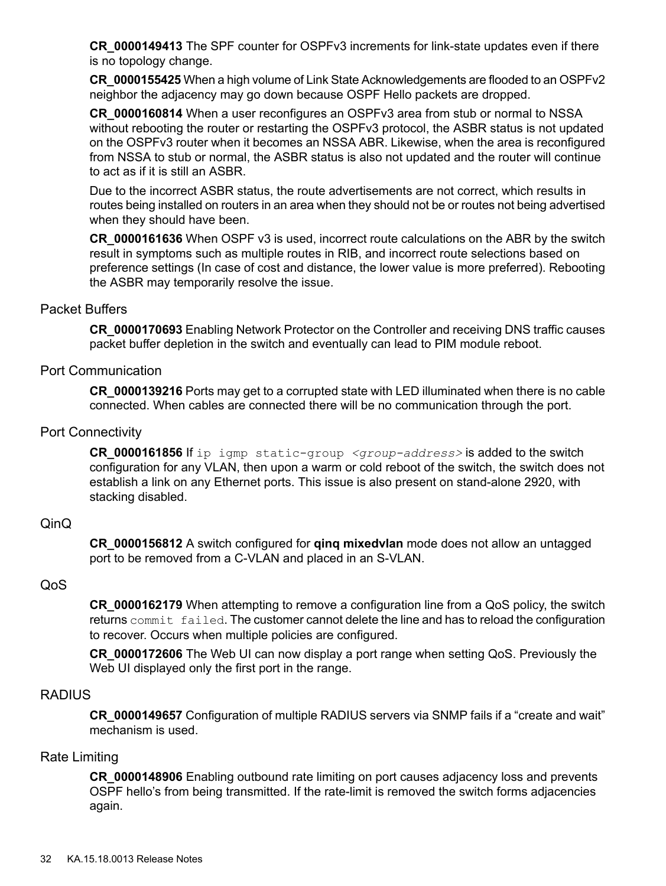**CR\_0000149413** The SPF counter for OSPFv3 increments for link-state updates even if there is no topology change.

**CR\_0000155425** When a high volume of Link State Acknowledgements are flooded to an OSPFv2 neighbor the adjacency may go down because OSPF Hello packets are dropped.

**CR\_0000160814** When a user reconfigures an OSPFv3 area from stub or normal to NSSA without rebooting the router or restarting the OSPFv3 protocol, the ASBR status is not updated on the OSPFv3 router when it becomes an NSSA ABR. Likewise, when the area is reconfigured from NSSA to stub or normal, the ASBR status is also not updated and the router will continue to act as if it is still an ASBR.

Due to the incorrect ASBR status, the route advertisements are not correct, which results in routes being installed on routers in an area when they should not be or routes not being advertised when they should have been.

<span id="page-31-0"></span>**CR\_0000161636** When OSPF v3 is used, incorrect route calculations on the ABR by the switch result in symptoms such as multiple routes in RIB, and incorrect route selections based on preference settings (In case of cost and distance, the lower value is more preferred). Rebooting the ASBR may temporarily resolve the issue.

# Packet Buffers

<span id="page-31-1"></span>**CR\_0000170693** Enabling Network Protector on the Controller and receiving DNS traffic causes packet buffer depletion in the switch and eventually can lead to PIM module reboot.

# Port Communication

<span id="page-31-2"></span>**CR\_0000139216** Ports may get to a corrupted state with LED illuminated when there is no cable connected. When cables are connected there will be no communication through the port.

# Port Connectivity

<span id="page-31-3"></span>**CR\_0000161856** If ip igmp static-group *<group-address>* is added to the switch configuration for any VLAN, then upon a warm or cold reboot of the switch, the switch does not establish a link on any Ethernet ports. This issue is also present on stand-alone 2920, with stacking disabled.

# QinQ

<span id="page-31-4"></span>**CR\_0000156812** A switch configured for **qinq mixedvlan** mode does not allow an untagged port to be removed from a C-VLAN and placed in an S-VLAN.

# QoS

<span id="page-31-5"></span>**CR\_0000162179** When attempting to remove a configuration line from a QoS policy, the switch returns commit failed. The customer cannot delete the line and has to reload the configuration to recover. Occurs when multiple policies are configured.

<span id="page-31-6"></span>**CR\_0000172606** The Web UI can now display a port range when setting QoS. Previously the Web UI displayed only the first port in the range.

# **RADIUS**

**CR\_0000149657** Configuration of multiple RADIUS servers via SNMP fails if a "create and wait" mechanism is used.

# Rate Limiting

**CR\_0000148906** Enabling outbound rate limiting on port causes adjacency loss and prevents OSPF hello's from being transmitted. If the rate-limit is removed the switch forms adjacencies again.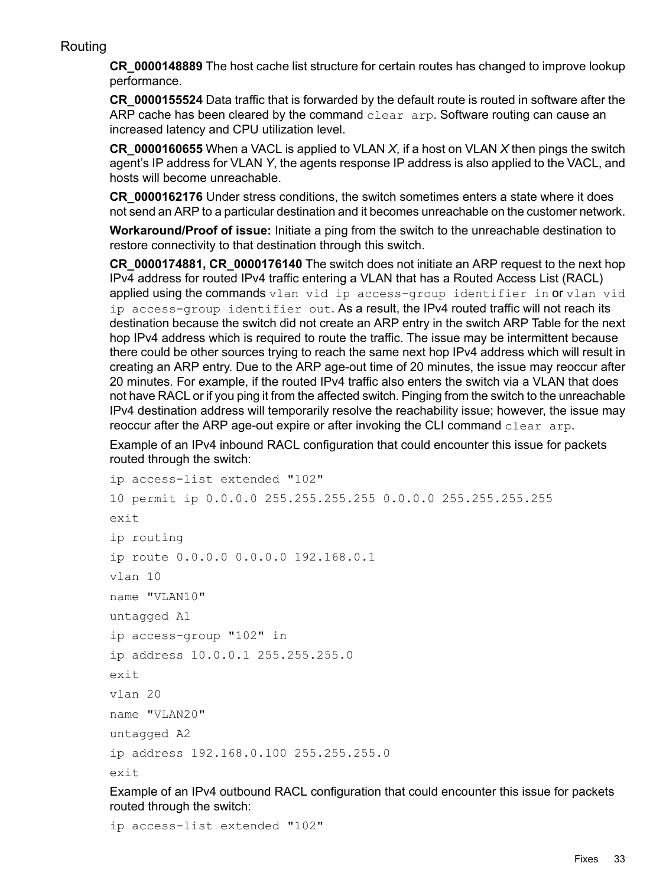# Routing

<span id="page-32-0"></span>**CR\_0000148889** The host cache list structure for certain routes has changed to improve lookup performance.

**CR\_0000155524** Data traffic that is forwarded by the default route is routed in software after the ARP cache has been cleared by the command clear arp. Software routing can cause an increased latency and CPU utilization level.

**CR\_0000160655** When a VACL is applied to VLAN *X*, if a host on VLAN *X* then pings the switch agent's IP address for VLAN *Y*, the agents response IP address is also applied to the VACL, and hosts will become unreachable.

**CR\_0000162176** Under stress conditions, the switch sometimes enters a state where it does not send an ARP to a particular destination and it becomes unreachable on the customer network.

**Workaround/Proof of issue:** Initiate a ping from the switch to the unreachable destination to restore connectivity to that destination through this switch.

**CR\_0000174881, CR\_0000176140** The switch does not initiate an ARP request to the next hop IPv4 address for routed IPv4 traffic entering a VLAN that has a Routed Access List (RACL) applied using the commands vlan vid ip access-group identifier in or vlan vid ip access-group identifier out. As a result, the IPv4 routed traffic will not reach its destination because the switch did not create an ARP entry in the switch ARP Table for the next hop IPv4 address which is required to route the traffic. The issue may be intermittent because there could be other sources trying to reach the same next hop IPv4 address which will result in creating an ARP entry. Due to the ARP age-out time of 20 minutes, the issue may reoccur after 20 minutes. For example, if the routed IPv4 traffic also enters the switch via a VLAN that does not have RACL or if you ping it from the affected switch. Pinging from the switch to the unreachable IPv4 destination address will temporarily resolve the reachability issue; however, the issue may reoccur after the ARP age-out expire or after invoking the CLI command clear arp.

Example of an IPv4 inbound RACL configuration that could encounter this issue for packets routed through the switch:

```
ip access-list extended "102"
10 permit ip 0.0.0.0 255.255.255.255 0.0.0.0 255.255.255.255
exit
ip routing
ip route 0.0.0.0 0.0.0.0 192.168.0.1
vlan 10
name "VLAN10"
untagged A1
ip access-group "102" in
ip address 10.0.0.1 255.255.255.0
exit
vlan 20
name "VLAN20"
untagged A2
ip address 192.168.0.100 255.255.255.0
exit
```
Example of an IPv4 outbound RACL configuration that could encounter this issue for packets routed through the switch:

ip access-list extended "102"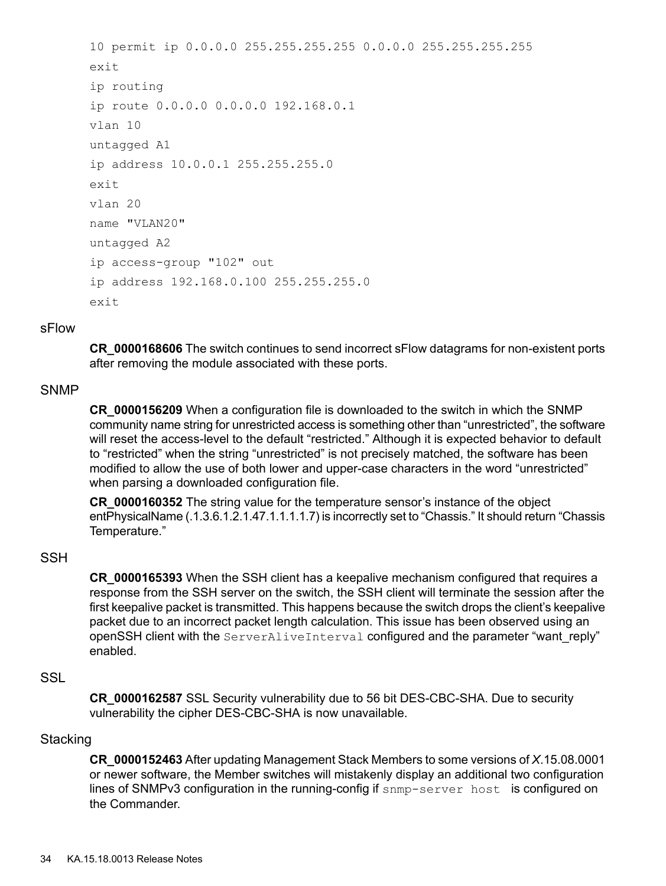```
10 permit ip 0.0.0.0 255.255.255.255 0.0.0.0 255.255.255.255
exit
ip routing
ip route 0.0.0.0 0.0.0.0 192.168.0.1
vlan 10
untagged A1
ip address 10.0.0.1 255.255.255.0
exit
vlan 20
name "VLAN20"
untagged A2
ip access-group "102" out
ip address 192.168.0.100 255.255.255.0
exit
```
#### <span id="page-33-0"></span>sFlow

<span id="page-33-1"></span>**CR\_0000168606** The switch continues to send incorrect sFlow datagrams for non-existent ports after removing the module associated with these ports.

#### **SNMP**

**CR\_0000156209** When a configuration file is downloaded to the switch in which the SNMP community name string for unrestricted access is something other than "unrestricted", the software will reset the access-level to the default "restricted." Although it is expected behavior to default to "restricted" when the string "unrestricted" is not precisely matched, the software has been modified to allow the use of both lower and upper-case characters in the word "unrestricted" when parsing a downloaded configuration file.

<span id="page-33-2"></span>**CR\_0000160352** The string value for the temperature sensor's instance of the object entPhysicalName (.1.3.6.1.2.1.47.1.1.1.1.7) is incorrectly set to "Chassis." It should return "Chassis Temperature."

# **SSH**

<span id="page-33-3"></span>**CR\_0000165393** When the SSH client has a keepalive mechanism configured that requires a response from the SSH server on the switch, the SSH client will terminate the session after the first keepalive packet is transmitted. This happens because the switch drops the client's keepalive packet due to an incorrect packet length calculation. This issue has been observed using an openSSH client with the ServerAliveInterval configured and the parameter "want reply" enabled.

# **SSL**

<span id="page-33-4"></span>**CR\_0000162587** SSL Security vulnerability due to 56 bit DES-CBC-SHA. Due to security vulnerability the cipher DES-CBC-SHA is now unavailable.

#### **Stacking**

**CR\_0000152463** After updating Management Stack Members to some versions of *X*.15.08.0001 or newer software, the Member switches will mistakenly display an additional two configuration lines of SNMPv3 configuration in the running-config if snmp-server host is configured on the Commander.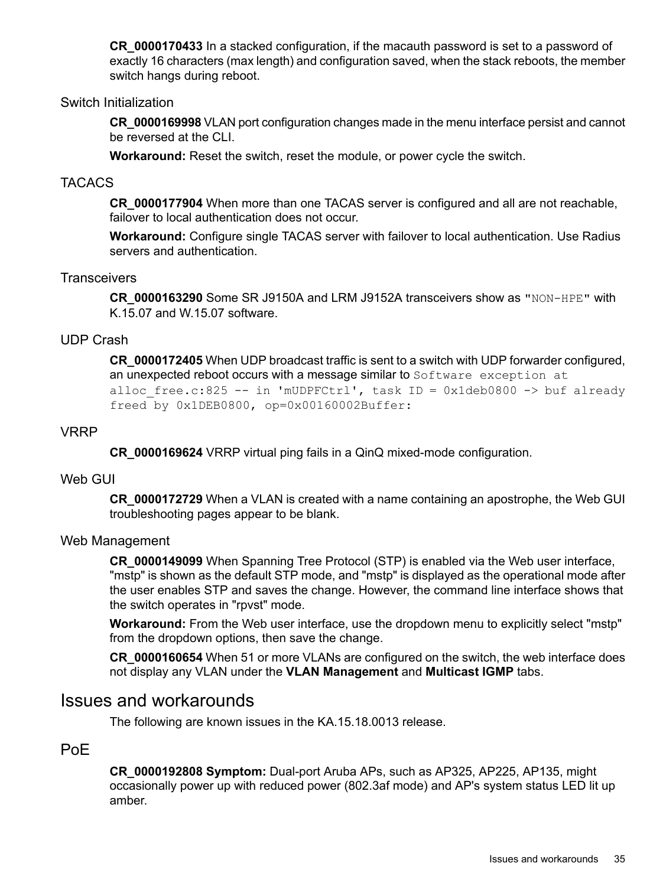**CR\_0000170433** In a stacked configuration, if the macauth password is set to a password of exactly 16 characters (max length) and configuration saved, when the stack reboots, the member switch hangs during reboot.

# Switch Initialization

<span id="page-34-0"></span>**CR\_0000169998** VLAN port configuration changes made in the menu interface persist and cannot be reversed at the CLI.

<span id="page-34-1"></span>**Workaround:** Reset the switch, reset the module, or power cycle the switch.

## TACACS

**CR\_0000177904** When more than one TACAS server is configured and all are not reachable, failover to local authentication does not occur.

<span id="page-34-2"></span>**Workaround:** Configure single TACAS server with failover to local authentication. Use Radius servers and authentication.

### **Transceivers**

<span id="page-34-3"></span>**CR\_0000163290** Some SR J9150A and LRM J9152A transceivers show as "NON-HPE" with K.15.07 and W.15.07 software.

# UDP Crash

<span id="page-34-4"></span>**CR\_0000172405** When UDP broadcast traffic is sent to a switch with UDP forwarder configured, an unexpected reboot occurs with a message similar to Software exception at alloc free.c:825 -- in 'mUDPFCtrl', task ID = 0x1deb0800 -> buf already freed by 0x1DEB0800, op=0x00160002Buffer:

#### VRRP

<span id="page-34-5"></span>**CR\_0000169624** VRRP virtual ping fails in a QinQ mixed-mode configuration.

### Web GUI

<span id="page-34-6"></span>**CR\_0000172729** When a VLAN is created with a name containing an apostrophe, the Web GUI troubleshooting pages appear to be blank.

#### Web Management

**CR\_0000149099** When Spanning Tree Protocol (STP) is enabled via the Web user interface, "mstp" is shown as the default STP mode, and "mstp" is displayed as the operational mode after the user enables STP and saves the change. However, the command line interface shows that the switch operates in "rpvst" mode.

<span id="page-34-7"></span>**Workaround:** From the Web user interface, use the dropdown menu to explicitly select "mstp" from the dropdown options, then save the change.

<span id="page-34-8"></span>**CR\_0000160654** When 51 or more VLANs are configured on the switch, the web interface does not display any VLAN under the **VLAN Management** and **Multicast IGMP** tabs.

# Issues and workarounds

The following are known issues in the KA.15.18.0013 release.

# PoE

**CR\_0000192808 Symptom:** Dual-port Aruba APs, such as AP325, AP225, AP135, might occasionally power up with reduced power (802.3af mode) and AP's system status LED lit up amber.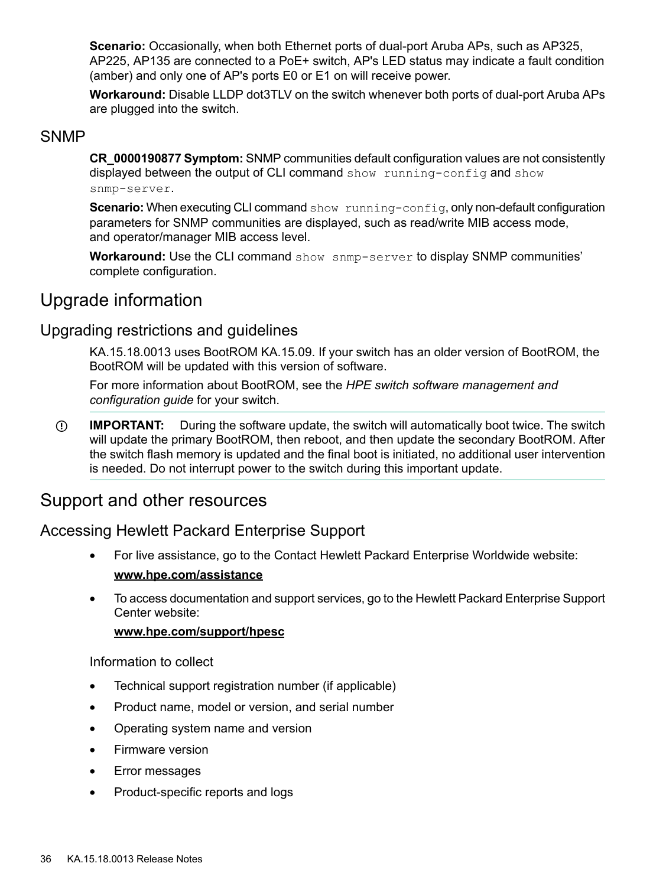**Scenario:** Occasionally, when both Ethernet ports of dual-port Aruba APs, such as AP325, AP225, AP135 are connected to a PoE+ switch, AP's LED status may indicate a fault condition (amber) and only one of AP's ports E0 or E1 on will receive power.

<span id="page-35-0"></span>**Workaround:** Disable LLDP dot3TLV on the switch whenever both ports of dual-port Aruba APs are plugged into the switch.

# **SNMP**

**CR\_0000190877 Symptom:** SNMP communities default configuration values are not consistently displayed between the output of CLI command show running-config and show snmp-server.

**Scenario:** When executing CLI command show running-config, only non-default configuration parameters for SNMP communities are displayed, such as read/write MIB access mode, and operator/manager MIB access level.

<span id="page-35-2"></span><span id="page-35-1"></span>**Workaround:** Use the CLI command show snmp-server to display SNMP communities' complete configuration.

# Upgrade information

# Upgrading restrictions and guidelines

KA.15.18.0013 uses BootROM KA.15.09. If your switch has an older version of BootROM, the BootROM will be updated with this version of software.

For more information about BootROM, see the *HPE switch software management and configuration guide* for your switch.

<span id="page-35-3"></span>**IMPORTANT:** During the software update, the switch will automatically boot twice. The switch  $\mathbb{O}$ will update the primary BootROM, then reboot, and then update the secondary BootROM. After the switch flash memory is updated and the final boot is initiated, no additional user intervention is needed. Do not interrupt power to the switch during this important update.

# <span id="page-35-4"></span>Support and other resources

# Accessing Hewlett Packard Enterprise Support

- For live assistance, go to the Contact Hewlett Packard Enterprise Worldwide website: **[www.hpe.com/assistance](http://www.hpe.com/assistance)**
- To access documentation and support services, go to the Hewlett Packard Enterprise Support Center website:

# **[www.hpe.com/support/hpesc](http://www.hpe.com/support/hpesc)**

Information to collect

- Technical support registration number (if applicable)
- Product name, model or version, and serial number
- Operating system name and version
- Firmware version
- Error messages
- Product-specific reports and logs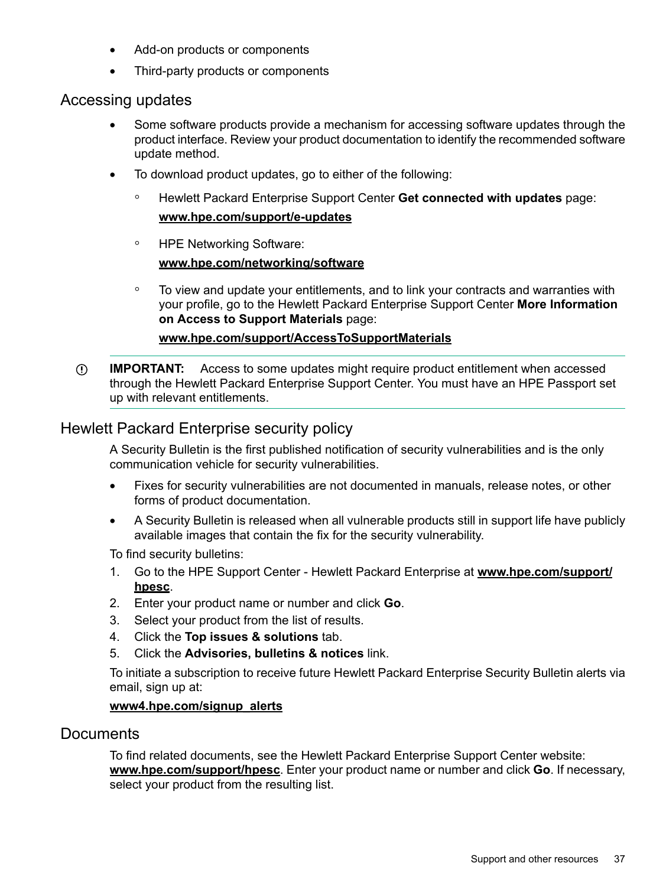- Add-on products or components
- <span id="page-36-0"></span>• Third-party products or components

# Accessing updates

- Some software products provide a mechanism for accessing software updates through the product interface. Review your product documentation to identify the recommended software update method.
- To download product updates, go to either of the following:
	- Hewlett Packard Enterprise Support Center **Get connected with updates** page: **<www.hpe.com/support/e-updates>**  $\circ$
	- HPE Networking Software: **<www.hpe.com/networking/software>**
	- To view and update your entitlements, and to link your contracts and warranties with your profile, go to the Hewlett Packard Enterprise Support Center **More Information on Access to Support Materials** page:

# **<www.hpe.com/support/AccessToSupportMaterials>**

<span id="page-36-1"></span>**IMPORTANT:** Access to some updates might require product entitlement when accessed  $\mathbb{O}$ through the Hewlett Packard Enterprise Support Center. You must have an HPE Passport set up with relevant entitlements.

# Hewlett Packard Enterprise security policy

A Security Bulletin is the first published notification of security vulnerabilities and is the only communication vehicle for security vulnerabilities.

- Fixes for security vulnerabilities are not documented in manuals, release notes, or other forms of product documentation.
- A Security Bulletin is released when all vulnerable products still in support life have publicly available images that contain the fix for the security vulnerability.

To find security bulletins:

- 1. Go to the HPE Support Center Hewlett Packard Enterprise at **[www.hpe.com/support/](www.hpe.com/support/hpesc) [hpesc](www.hpe.com/support/hpesc)**.
- 2. Enter your product name or number and click **Go**.
- 3. Select your product from the list of results.
- 4. Click the **Top issues & solutions** tab.
- <span id="page-36-2"></span>5. Click the **Advisories, bulletins & notices** link.

To initiate a subscription to receive future Hewlett Packard Enterprise Security Bulletin alerts via email, sign up at:

# **[www4.hpe.com/signup\\_alerts](http://h41360.www4.hpe.com/signup_alerts.php?jumpid=hpsc_secbulletins)**

# **Documents**

To find related documents, see the Hewlett Packard Enterprise Support Center website: **<www.hpe.com/support/hpesc>**. Enter your product name or number and click **Go**. If necessary, select your product from the resulting list.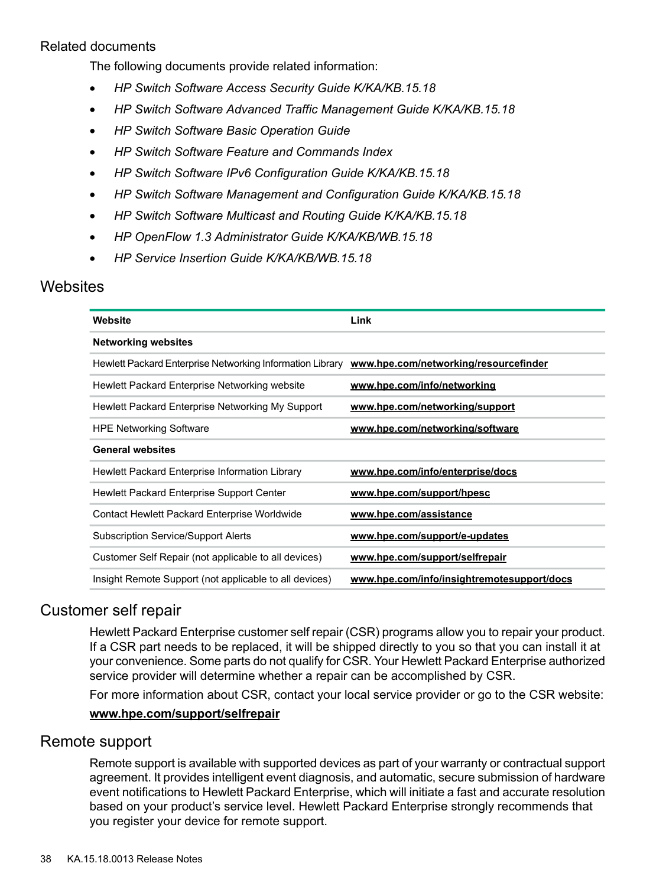# Related documents

<span id="page-37-0"></span>The following documents provide related information:

- *HP Switch Software Access Security Guide K/KA/KB.15.18*
- *HP Switch Software Advanced Traffic Management Guide K/KA/KB.15.18*
- *HP Switch Software Basic Operation Guide*
- *HP Switch Software Feature and Commands Index*
- *HP Switch Software IPv6 Configuration Guide K/KA/KB.15.18*
- *HP Switch Software Management and Configuration Guide K/KA/KB.15.18*
- *HP Switch Software Multicast and Routing Guide K/KA/KB.15.18*
- *HP OpenFlow 1.3 Administrator Guide K/KA/KB/WB.15.18*
- <span id="page-37-1"></span>• *HP Service Insertion Guide K/KA/KB/WB.15.18*

# **Websites**

| Website                                                   | Link                                       |
|-----------------------------------------------------------|--------------------------------------------|
| <b>Networking websites</b>                                |                                            |
| Hewlett Packard Enterprise Networking Information Library | www.hpe.com/networking/resourcefinder      |
| Hewlett Packard Enterprise Networking website             | www.hpe.com/info/networking                |
| Hewlett Packard Enterprise Networking My Support          | www.hpe.com/networking/support             |
| <b>HPE Networking Software</b>                            | www.hpe.com/networking/software            |
| <b>General websites</b>                                   |                                            |
| Hewlett Packard Enterprise Information Library            | www.hpe.com/info/enterprise/docs           |
| Hewlett Packard Enterprise Support Center                 | www.hpe.com/support/hpesc                  |
| Contact Hewlett Packard Enterprise Worldwide              | www.hpe.com/assistance                     |
| <b>Subscription Service/Support Alerts</b>                | www.hpe.com/support/e-updates              |
| Customer Self Repair (not applicable to all devices)      | www.hpe.com/support/selfrepair             |
| Insight Remote Support (not applicable to all devices)    | www.hpe.com/info/insightremotesupport/docs |

# <span id="page-37-2"></span>Customer self repair

<span id="page-37-3"></span>Hewlett Packard Enterprise customer self repair (CSR) programs allow you to repair your product. If a CSR part needs to be replaced, it will be shipped directly to you so that you can install it at your convenience. Some parts do not qualify for CSR. Your Hewlett Packard Enterprise authorized service provider will determine whether a repair can be accomplished by CSR.

For more information about CSR, contact your local service provider or go to the CSR website:

# **<www.hpe.com/support/selfrepair>**

# Remote support

Remote support is available with supported devices as part of your warranty or contractual support agreement. It provides intelligent event diagnosis, and automatic, secure submission of hardware event notifications to Hewlett Packard Enterprise, which will initiate a fast and accurate resolution based on your product's service level. Hewlett Packard Enterprise strongly recommends that you register your device for remote support.